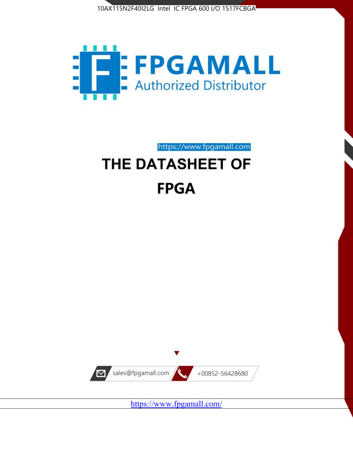



https://www.fpgamall.com

# THE DATASHEET OF **FPGA**



<https://www.fpgamall.com/>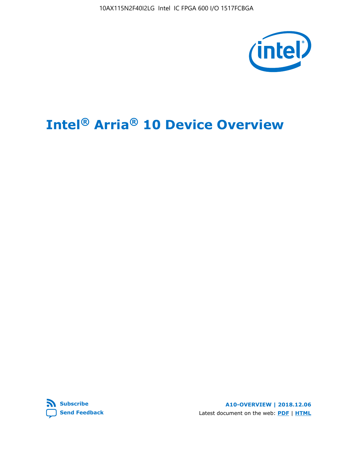10AX115N2F40I2LG Intel IC FPGA 600 I/O 1517FCBGA



# **Intel® Arria® 10 Device Overview**



**A10-OVERVIEW | 2018.12.06** Latest document on the web: **[PDF](https://www.intel.com/content/dam/www/programmable/us/en/pdfs/literature/hb/arria-10/a10_overview.pdf)** | **[HTML](https://www.intel.com/content/www/us/en/programmable/documentation/sam1403480274650.html)**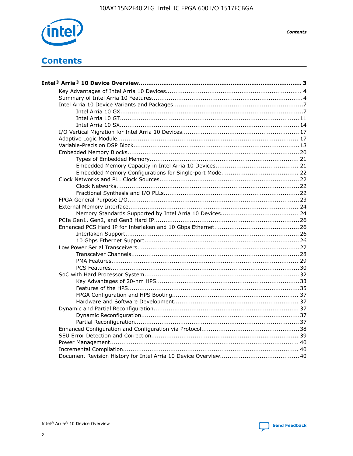

**Contents** 

# **Contents**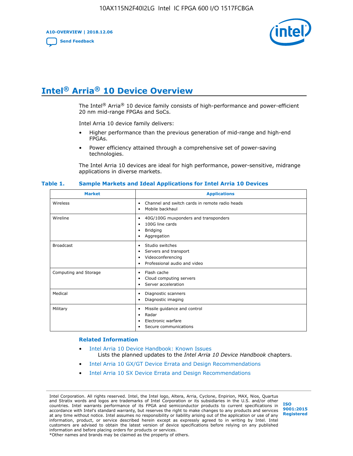**A10-OVERVIEW | 2018.12.06**

**[Send Feedback](mailto:FPGAtechdocfeedback@intel.com?subject=Feedback%20on%20Intel%20Arria%2010%20Device%20Overview%20(A10-OVERVIEW%202018.12.06)&body=We%20appreciate%20your%20feedback.%20In%20your%20comments,%20also%20specify%20the%20page%20number%20or%20paragraph.%20Thank%20you.)**



# **Intel® Arria® 10 Device Overview**

The Intel<sup>®</sup> Arria<sup>®</sup> 10 device family consists of high-performance and power-efficient 20 nm mid-range FPGAs and SoCs.

Intel Arria 10 device family delivers:

- Higher performance than the previous generation of mid-range and high-end FPGAs.
- Power efficiency attained through a comprehensive set of power-saving technologies.

The Intel Arria 10 devices are ideal for high performance, power-sensitive, midrange applications in diverse markets.

| <b>Market</b>         | <b>Applications</b>                                                                                               |
|-----------------------|-------------------------------------------------------------------------------------------------------------------|
| Wireless              | Channel and switch cards in remote radio heads<br>٠<br>Mobile backhaul<br>٠                                       |
| Wireline              | 40G/100G muxponders and transponders<br>٠<br>100G line cards<br>٠<br><b>Bridging</b><br>٠<br>Aggregation<br>٠     |
| <b>Broadcast</b>      | Studio switches<br>٠<br>Servers and transport<br>٠<br>Videoconferencing<br>٠<br>Professional audio and video<br>٠ |
| Computing and Storage | Flash cache<br>٠<br>Cloud computing servers<br>٠<br>Server acceleration<br>٠                                      |
| Medical               | Diagnostic scanners<br>٠<br>Diagnostic imaging<br>٠                                                               |
| Military              | Missile guidance and control<br>٠<br>Radar<br>٠<br>Electronic warfare<br>٠<br>Secure communications<br>٠          |

#### **Table 1. Sample Markets and Ideal Applications for Intel Arria 10 Devices**

#### **Related Information**

- [Intel Arria 10 Device Handbook: Known Issues](http://www.altera.com/support/kdb/solutions/rd07302013_646.html) Lists the planned updates to the *Intel Arria 10 Device Handbook* chapters.
- [Intel Arria 10 GX/GT Device Errata and Design Recommendations](https://www.intel.com/content/www/us/en/programmable/documentation/agz1493851706374.html#yqz1494433888646)
- [Intel Arria 10 SX Device Errata and Design Recommendations](https://www.intel.com/content/www/us/en/programmable/documentation/cru1462832385668.html#cru1462832558642)

Intel Corporation. All rights reserved. Intel, the Intel logo, Altera, Arria, Cyclone, Enpirion, MAX, Nios, Quartus and Stratix words and logos are trademarks of Intel Corporation or its subsidiaries in the U.S. and/or other countries. Intel warrants performance of its FPGA and semiconductor products to current specifications in accordance with Intel's standard warranty, but reserves the right to make changes to any products and services at any time without notice. Intel assumes no responsibility or liability arising out of the application or use of any information, product, or service described herein except as expressly agreed to in writing by Intel. Intel customers are advised to obtain the latest version of device specifications before relying on any published information and before placing orders for products or services. \*Other names and brands may be claimed as the property of others.

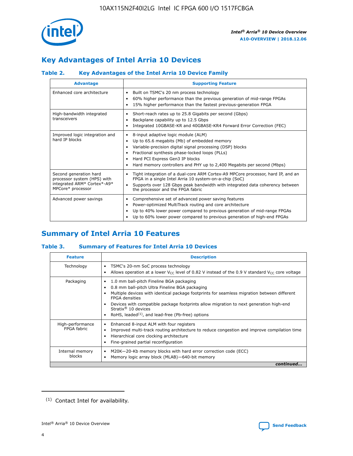

# **Key Advantages of Intel Arria 10 Devices**

# **Table 2. Key Advantages of the Intel Arria 10 Device Family**

| <b>Advantage</b>                                                                                          | <b>Supporting Feature</b>                                                                                                                                                                                                                                                                                                |
|-----------------------------------------------------------------------------------------------------------|--------------------------------------------------------------------------------------------------------------------------------------------------------------------------------------------------------------------------------------------------------------------------------------------------------------------------|
| Enhanced core architecture                                                                                | Built on TSMC's 20 nm process technology<br>٠<br>60% higher performance than the previous generation of mid-range FPGAs<br>٠<br>15% higher performance than the fastest previous-generation FPGA<br>٠                                                                                                                    |
| High-bandwidth integrated<br>transceivers                                                                 | Short-reach rates up to 25.8 Gigabits per second (Gbps)<br>٠<br>Backplane capability up to 12.5 Gbps<br>٠<br>Integrated 10GBASE-KR and 40GBASE-KR4 Forward Error Correction (FEC)<br>٠                                                                                                                                   |
| Improved logic integration and<br>hard IP blocks                                                          | 8-input adaptive logic module (ALM)<br>٠<br>Up to 65.6 megabits (Mb) of embedded memory<br>٠<br>Variable-precision digital signal processing (DSP) blocks<br>Fractional synthesis phase-locked loops (PLLs)<br>Hard PCI Express Gen3 IP blocks<br>Hard memory controllers and PHY up to 2,400 Megabits per second (Mbps) |
| Second generation hard<br>processor system (HPS) with<br>integrated ARM* Cortex*-A9*<br>MPCore* processor | Tight integration of a dual-core ARM Cortex-A9 MPCore processor, hard IP, and an<br>٠<br>FPGA in a single Intel Arria 10 system-on-a-chip (SoC)<br>Supports over 128 Gbps peak bandwidth with integrated data coherency between<br>$\bullet$<br>the processor and the FPGA fabric                                        |
| Advanced power savings                                                                                    | Comprehensive set of advanced power saving features<br>٠<br>Power-optimized MultiTrack routing and core architecture<br>٠<br>Up to 40% lower power compared to previous generation of mid-range FPGAs<br>٠<br>Up to 60% lower power compared to previous generation of high-end FPGAs<br>٠                               |

# **Summary of Intel Arria 10 Features**

## **Table 3. Summary of Features for Intel Arria 10 Devices**

| <b>Feature</b>                  | <b>Description</b>                                                                                                                                                                                                                                                                                                                                                                                       |
|---------------------------------|----------------------------------------------------------------------------------------------------------------------------------------------------------------------------------------------------------------------------------------------------------------------------------------------------------------------------------------------------------------------------------------------------------|
| Technology                      | TSMC's 20-nm SoC process technology<br>٠<br>Allows operation at a lower $V_{\text{CC}}$ level of 0.82 V instead of the 0.9 V standard $V_{\text{CC}}$ core voltage                                                                                                                                                                                                                                       |
| Packaging                       | 1.0 mm ball-pitch Fineline BGA packaging<br>0.8 mm ball-pitch Ultra Fineline BGA packaging<br>Multiple devices with identical package footprints for seamless migration between different<br><b>FPGA</b> densities<br>Devices with compatible package footprints allow migration to next generation high-end<br>Stratix $\mathcal{R}$ 10 devices<br>RoHS, leaded $(1)$ , and lead-free (Pb-free) options |
| High-performance<br>FPGA fabric | Enhanced 8-input ALM with four registers<br>٠<br>Improved multi-track routing architecture to reduce congestion and improve compilation time<br>Hierarchical core clocking architecture<br>Fine-grained partial reconfiguration                                                                                                                                                                          |
| Internal memory<br>blocks       | M20K-20-Kb memory blocks with hard error correction code (ECC)<br>Memory logic array block (MLAB)-640-bit memory                                                                                                                                                                                                                                                                                         |
|                                 | continued                                                                                                                                                                                                                                                                                                                                                                                                |



<sup>(1)</sup> Contact Intel for availability.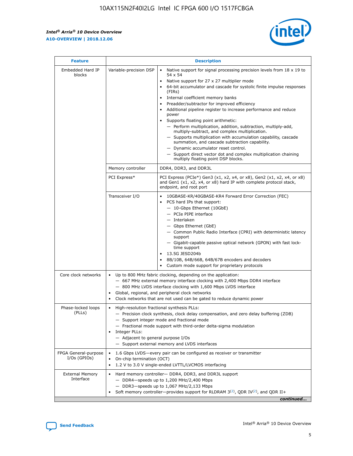r



| <b>Feature</b>                         | <b>Description</b>                                                                                             |                                                                                                                                                                                                                                                                                                                                                                                                                                                                                                                                                                                                                                                                                                                                                                                                                                        |  |  |  |  |  |
|----------------------------------------|----------------------------------------------------------------------------------------------------------------|----------------------------------------------------------------------------------------------------------------------------------------------------------------------------------------------------------------------------------------------------------------------------------------------------------------------------------------------------------------------------------------------------------------------------------------------------------------------------------------------------------------------------------------------------------------------------------------------------------------------------------------------------------------------------------------------------------------------------------------------------------------------------------------------------------------------------------------|--|--|--|--|--|
| Embedded Hard IP<br>blocks             | Variable-precision DSP                                                                                         | Native support for signal processing precision levels from $18 \times 19$ to<br>54 x 54<br>Native support for 27 x 27 multiplier mode<br>64-bit accumulator and cascade for systolic finite impulse responses<br>(FIRs)<br>Internal coefficient memory banks<br>$\bullet$<br>Preadder/subtractor for improved efficiency<br>Additional pipeline register to increase performance and reduce<br>power<br>Supports floating point arithmetic:<br>- Perform multiplication, addition, subtraction, multiply-add,<br>multiply-subtract, and complex multiplication.<br>- Supports multiplication with accumulation capability, cascade<br>summation, and cascade subtraction capability.<br>- Dynamic accumulator reset control.<br>- Support direct vector dot and complex multiplication chaining<br>multiply floating point DSP blocks. |  |  |  |  |  |
|                                        | Memory controller                                                                                              | DDR4, DDR3, and DDR3L                                                                                                                                                                                                                                                                                                                                                                                                                                                                                                                                                                                                                                                                                                                                                                                                                  |  |  |  |  |  |
|                                        | PCI Express*                                                                                                   | PCI Express (PCIe*) Gen3 (x1, x2, x4, or x8), Gen2 (x1, x2, x4, or x8)<br>and Gen1 (x1, x2, x4, or x8) hard IP with complete protocol stack,<br>endpoint, and root port                                                                                                                                                                                                                                                                                                                                                                                                                                                                                                                                                                                                                                                                |  |  |  |  |  |
|                                        | Transceiver I/O                                                                                                | 10GBASE-KR/40GBASE-KR4 Forward Error Correction (FEC)<br>PCS hard IPs that support:<br>$\bullet$<br>- 10-Gbps Ethernet (10GbE)<br>- PCIe PIPE interface<br>$-$ Interlaken<br>- Gbps Ethernet (GbE)<br>- Common Public Radio Interface (CPRI) with deterministic latency<br>support<br>- Gigabit-capable passive optical network (GPON) with fast lock-<br>time support<br>13.5G JESD204b<br>$\bullet$<br>8B/10B, 64B/66B, 64B/67B encoders and decoders<br>Custom mode support for proprietary protocols                                                                                                                                                                                                                                                                                                                               |  |  |  |  |  |
| Core clock networks                    | $\bullet$<br>$\bullet$                                                                                         | Up to 800 MHz fabric clocking, depending on the application:<br>- 667 MHz external memory interface clocking with 2,400 Mbps DDR4 interface<br>- 800 MHz LVDS interface clocking with 1,600 Mbps LVDS interface<br>Global, regional, and peripheral clock networks<br>Clock networks that are not used can be gated to reduce dynamic power                                                                                                                                                                                                                                                                                                                                                                                                                                                                                            |  |  |  |  |  |
| Phase-locked loops<br>(PLLs)           | High-resolution fractional synthesis PLLs:<br>$\bullet$<br>Integer PLLs:<br>- Adjacent to general purpose I/Os | - Precision clock synthesis, clock delay compensation, and zero delay buffering (ZDB)<br>- Support integer mode and fractional mode<br>- Fractional mode support with third-order delta-sigma modulation<br>- Support external memory and LVDS interfaces                                                                                                                                                                                                                                                                                                                                                                                                                                                                                                                                                                              |  |  |  |  |  |
| FPGA General-purpose<br>$I/Os$ (GPIOs) | On-chip termination (OCT)                                                                                      | 1.6 Gbps LVDS-every pair can be configured as receiver or transmitter<br>1.2 V to 3.0 V single-ended LVTTL/LVCMOS interfacing                                                                                                                                                                                                                                                                                                                                                                                                                                                                                                                                                                                                                                                                                                          |  |  |  |  |  |
| <b>External Memory</b><br>Interface    |                                                                                                                | Hard memory controller- DDR4, DDR3, and DDR3L support<br>$-$ DDR4 $-$ speeds up to 1,200 MHz/2,400 Mbps<br>- DDR3-speeds up to 1,067 MHz/2,133 Mbps<br>Soft memory controller—provides support for RLDRAM $3^{(2)}$ , QDR IV $^{(2)}$ , and QDR II+<br>continued                                                                                                                                                                                                                                                                                                                                                                                                                                                                                                                                                                       |  |  |  |  |  |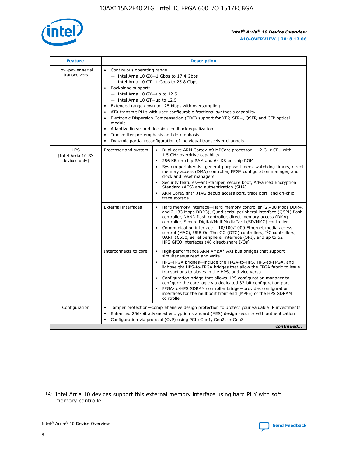

| <b>Feature</b>                                    | <b>Description</b>                                                                                                                                                                                                                                                                                                                                                                                                                                                                                                                                                                                                                             |  |  |  |  |  |  |  |  |
|---------------------------------------------------|------------------------------------------------------------------------------------------------------------------------------------------------------------------------------------------------------------------------------------------------------------------------------------------------------------------------------------------------------------------------------------------------------------------------------------------------------------------------------------------------------------------------------------------------------------------------------------------------------------------------------------------------|--|--|--|--|--|--|--|--|
| Low-power serial<br>transceivers                  | • Continuous operating range:<br>- Intel Arria 10 GX-1 Gbps to 17.4 Gbps<br>- Intel Arria 10 GT-1 Gbps to 25.8 Gbps<br>Backplane support:<br>$-$ Intel Arria 10 GX-up to 12.5<br>$-$ Intel Arria 10 GT-up to 12.5<br>Extended range down to 125 Mbps with oversampling<br>ATX transmit PLLs with user-configurable fractional synthesis capability<br>• Electronic Dispersion Compensation (EDC) support for XFP, SFP+, QSFP, and CFP optical<br>module<br>• Adaptive linear and decision feedback equalization<br>Transmitter pre-emphasis and de-emphasis<br>$\bullet$<br>Dynamic partial reconfiguration of individual transceiver channels |  |  |  |  |  |  |  |  |
| <b>HPS</b><br>(Intel Arria 10 SX<br>devices only) | Processor and system<br>Dual-core ARM Cortex-A9 MPCore processor-1.2 GHz CPU with<br>$\bullet$<br>1.5 GHz overdrive capability<br>256 KB on-chip RAM and 64 KB on-chip ROM<br>$\bullet$<br>System peripherals-general-purpose timers, watchdog timers, direct<br>memory access (DMA) controller, FPGA configuration manager, and<br>clock and reset managers<br>• Security features—anti-tamper, secure boot, Advanced Encryption<br>Standard (AES) and authentication (SHA)<br>ARM CoreSight* JTAG debug access port, trace port, and on-chip<br>trace storage                                                                                |  |  |  |  |  |  |  |  |
|                                                   | <b>External interfaces</b><br>Hard memory interface—Hard memory controller (2,400 Mbps DDR4,<br>$\bullet$<br>and 2,133 Mbps DDR3), Quad serial peripheral interface (QSPI) flash<br>controller, NAND flash controller, direct memory access (DMA)<br>controller, Secure Digital/MultiMediaCard (SD/MMC) controller<br>Communication interface-10/100/1000 Ethernet media access<br>control (MAC), USB On-The-GO (OTG) controllers, I <sup>2</sup> C controllers,<br>UART 16550, serial peripheral interface (SPI), and up to 62<br>HPS GPIO interfaces (48 direct-share I/Os)                                                                  |  |  |  |  |  |  |  |  |
|                                                   | High-performance ARM AMBA* AXI bus bridges that support<br>Interconnects to core<br>$\bullet$<br>simultaneous read and write<br>HPS-FPGA bridges—include the FPGA-to-HPS, HPS-to-FPGA, and<br>$\bullet$<br>lightweight HPS-to-FPGA bridges that allow the FPGA fabric to issue<br>transactions to slaves in the HPS, and vice versa<br>Configuration bridge that allows HPS configuration manager to<br>configure the core logic via dedicated 32-bit configuration port<br>FPGA-to-HPS SDRAM controller bridge-provides configuration<br>interfaces for the multiport front end (MPFE) of the HPS SDRAM<br>controller                         |  |  |  |  |  |  |  |  |
| Configuration                                     | Tamper protection—comprehensive design protection to protect your valuable IP investments<br>Enhanced 256-bit advanced encryption standard (AES) design security with authentication<br>$\bullet$<br>Configuration via protocol (CvP) using PCIe Gen1, Gen2, or Gen3<br>continued                                                                                                                                                                                                                                                                                                                                                              |  |  |  |  |  |  |  |  |

<sup>(2)</sup> Intel Arria 10 devices support this external memory interface using hard PHY with soft memory controller.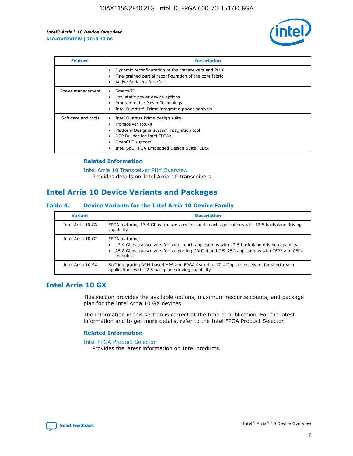

| <b>Feature</b>     | <b>Description</b>                                                                                                                                                                                               |
|--------------------|------------------------------------------------------------------------------------------------------------------------------------------------------------------------------------------------------------------|
|                    | Dynamic reconfiguration of the transceivers and PLLs<br>Fine-grained partial reconfiguration of the core fabric<br>Active Serial x4 Interface<br>$\bullet$                                                       |
| Power management   | SmartVID<br>Low static power device options<br>Programmable Power Technology<br>Intel Quartus <sup>®</sup> Prime integrated power analysis                                                                       |
| Software and tools | Intel Quartus Prime design suite<br>Transceiver toolkit<br>Platform Designer system integration tool<br>DSP Builder for Intel FPGAs<br>OpenCL <sup>™</sup> support<br>Intel SoC FPGA Embedded Design Suite (EDS) |

## **Related Information**

[Intel Arria 10 Transceiver PHY Overview](https://www.intel.com/content/www/us/en/programmable/documentation/nik1398707230472.html#nik1398706768037) Provides details on Intel Arria 10 transceivers.

# **Intel Arria 10 Device Variants and Packages**

#### **Table 4. Device Variants for the Intel Arria 10 Device Family**

| <b>Variant</b>    | <b>Description</b>                                                                                                                                                                                                     |
|-------------------|------------------------------------------------------------------------------------------------------------------------------------------------------------------------------------------------------------------------|
| Intel Arria 10 GX | FPGA featuring 17.4 Gbps transceivers for short reach applications with 12.5 backplane driving<br>capability.                                                                                                          |
| Intel Arria 10 GT | FPGA featuring:<br>17.4 Gbps transceivers for short reach applications with 12.5 backplane driving capability.<br>25.8 Gbps transceivers for supporting CAUI-4 and CEI-25G applications with CFP2 and CFP4<br>modules. |
| Intel Arria 10 SX | SoC integrating ARM-based HPS and FPGA featuring 17.4 Gbps transceivers for short reach<br>applications with 12.5 backplane driving capability.                                                                        |

# **Intel Arria 10 GX**

This section provides the available options, maximum resource counts, and package plan for the Intel Arria 10 GX devices.

The information in this section is correct at the time of publication. For the latest information and to get more details, refer to the Intel FPGA Product Selector.

#### **Related Information**

#### [Intel FPGA Product Selector](http://www.altera.com/products/selector/psg-selector.html) Provides the latest information on Intel products.

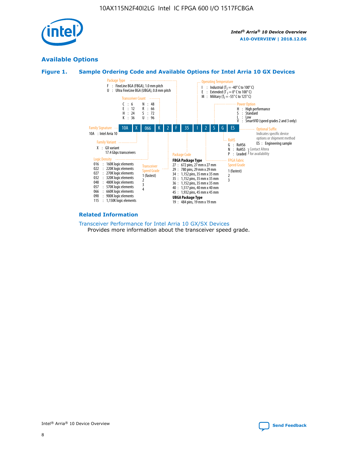

# **Available Options**





#### **Related Information**

[Transceiver Performance for Intel Arria 10 GX/SX Devices](https://www.intel.com/content/www/us/en/programmable/documentation/mcn1413182292568.html#mcn1413213965502) Provides more information about the transceiver speed grade.

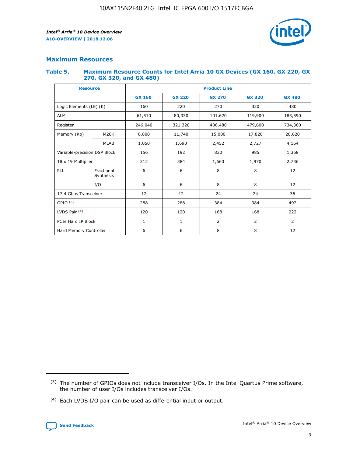

## **Maximum Resources**

#### **Table 5. Maximum Resource Counts for Intel Arria 10 GX Devices (GX 160, GX 220, GX 270, GX 320, and GX 480)**

| <b>Resource</b>              |                         | <b>Product Line</b> |                                |                |                |               |  |  |  |
|------------------------------|-------------------------|---------------------|--------------------------------|----------------|----------------|---------------|--|--|--|
|                              |                         | <b>GX 160</b>       | <b>GX 220</b><br><b>GX 270</b> |                | <b>GX 320</b>  | <b>GX 480</b> |  |  |  |
| Logic Elements (LE) (K)      |                         | 160                 | 220                            | 270            | 320            | 480           |  |  |  |
| <b>ALM</b>                   |                         | 61,510              | 80,330                         | 101,620        | 119,900        | 183,590       |  |  |  |
| Register                     |                         | 246,040             | 321,320<br>406,480             |                | 479,600        | 734,360       |  |  |  |
| Memory (Kb)                  | M <sub>20</sub> K       | 8,800               | 11,740                         | 15,000         | 17,820         | 28,620        |  |  |  |
|                              | <b>MLAB</b>             | 1,050               | 1,690                          | 2,452          | 2,727          | 4,164         |  |  |  |
| Variable-precision DSP Block |                         | 156                 | 192                            | 830            | 985            | 1,368         |  |  |  |
| 18 x 19 Multiplier           |                         | 312                 | 384                            | 1,970<br>1,660 |                | 2,736         |  |  |  |
| PLL                          | Fractional<br>Synthesis | 6                   | 6                              | 8              | 8              | 12            |  |  |  |
|                              | I/O                     | 6                   | 6                              | 8              | 8              | 12            |  |  |  |
| 17.4 Gbps Transceiver        |                         | 12                  | 12                             | 24             | 24             | 36            |  |  |  |
| GPIO <sup>(3)</sup>          |                         | 288                 | 288                            | 384            | 384            |               |  |  |  |
| LVDS Pair $(4)$              |                         | 120                 | 120                            | 168            | 168            | 222           |  |  |  |
| PCIe Hard IP Block           |                         | 1                   | 1                              | $\overline{2}$ | $\overline{2}$ | 2             |  |  |  |
| Hard Memory Controller       |                         | 6                   | 6                              | 8              | 8              | 12            |  |  |  |

<sup>(4)</sup> Each LVDS I/O pair can be used as differential input or output.



<sup>(3)</sup> The number of GPIOs does not include transceiver I/Os. In the Intel Quartus Prime software, the number of user I/Os includes transceiver I/Os.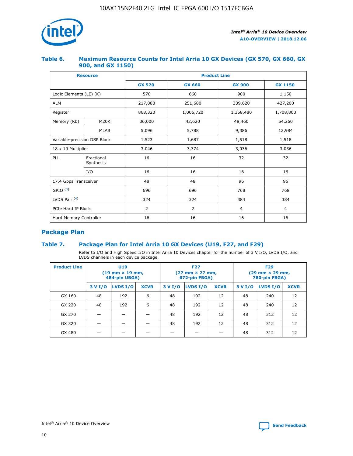

## **Table 6. Maximum Resource Counts for Intel Arria 10 GX Devices (GX 570, GX 660, GX 900, and GX 1150)**

|                              | <b>Resource</b>         | <b>Product Line</b> |               |                |                |  |  |  |
|------------------------------|-------------------------|---------------------|---------------|----------------|----------------|--|--|--|
|                              |                         | <b>GX 570</b>       | <b>GX 660</b> | <b>GX 900</b>  | <b>GX 1150</b> |  |  |  |
| Logic Elements (LE) (K)      |                         | 570                 | 660           | 900            | 1,150          |  |  |  |
| <b>ALM</b>                   |                         | 217,080             | 251,680       | 339,620        | 427,200        |  |  |  |
| Register                     |                         | 868,320             | 1,006,720     |                | 1,708,800      |  |  |  |
| Memory (Kb)                  | <b>M20K</b>             | 36,000              | 42,620        | 48,460         | 54,260         |  |  |  |
|                              | <b>MLAB</b>             | 5,096               | 5,788         | 9,386          | 12,984         |  |  |  |
| Variable-precision DSP Block |                         | 1,523               | 1,687         | 1,518          | 1,518          |  |  |  |
| $18 \times 19$ Multiplier    |                         | 3,046               | 3,374         | 3,036          | 3,036          |  |  |  |
| PLL                          | Fractional<br>Synthesis | 16                  | 16            | 32             | 32             |  |  |  |
|                              | I/O                     | 16                  | 16            | 16             | 16             |  |  |  |
| 17.4 Gbps Transceiver        |                         | 48                  | 96<br>48      |                | 96             |  |  |  |
| GPIO <sup>(3)</sup>          |                         | 696                 | 696           | 768            | 768            |  |  |  |
| LVDS Pair $(4)$              |                         | 324                 | 324           | 384            | 384            |  |  |  |
| PCIe Hard IP Block           |                         | 2                   | 2             | $\overline{4}$ | $\overline{4}$ |  |  |  |
| Hard Memory Controller       |                         | 16                  | 16            | 16             | 16             |  |  |  |

# **Package Plan**

## **Table 7. Package Plan for Intel Arria 10 GX Devices (U19, F27, and F29)**

Refer to I/O and High Speed I/O in Intel Arria 10 Devices chapter for the number of 3 V I/O, LVDS I/O, and LVDS channels in each device package.

| <b>Product Line</b> | U <sub>19</sub><br>$(19 \text{ mm} \times 19 \text{ mm})$<br>484-pin UBGA) |          |             |         | <b>F27</b><br>(27 mm × 27 mm,<br>672-pin FBGA) |             | <b>F29</b><br>(29 mm × 29 mm,<br>780-pin FBGA) |          |             |  |
|---------------------|----------------------------------------------------------------------------|----------|-------------|---------|------------------------------------------------|-------------|------------------------------------------------|----------|-------------|--|
|                     | 3 V I/O                                                                    | LVDS I/O | <b>XCVR</b> | 3 V I/O | LVDS I/O                                       | <b>XCVR</b> | 3 V I/O                                        | LVDS I/O | <b>XCVR</b> |  |
| GX 160              | 48                                                                         | 192      | 6           | 48      | 192                                            | 12          | 48                                             | 240      | 12          |  |
| GX 220              | 48                                                                         | 192      | 6           | 48      | 192                                            | 12          | 48                                             | 240      | 12          |  |
| GX 270              |                                                                            |          |             | 48      | 192                                            | 12          | 48                                             | 312      | 12          |  |
| GX 320              |                                                                            |          |             | 48      | 192                                            | 12          | 48                                             | 312      | 12          |  |
| GX 480              |                                                                            |          |             |         |                                                |             | 48                                             | 312      | 12          |  |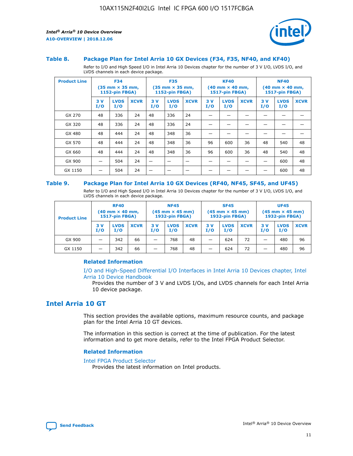

#### **Table 8. Package Plan for Intel Arria 10 GX Devices (F34, F35, NF40, and KF40)**

Refer to I/O and High Speed I/O in Intel Arria 10 Devices chapter for the number of 3 V I/O, LVDS I/O, and LVDS channels in each device package.

| <b>Product Line</b> | <b>F34</b><br>$(35 \text{ mm} \times 35 \text{ mm})$<br>1152-pin FBGA) |                    | <b>F35</b><br>$(35 \text{ mm} \times 35 \text{ mm})$<br><b>1152-pin FBGA)</b> |           | <b>KF40</b><br>$(40$ mm $\times$ 40 mm,<br>1517-pin FBGA) |             |           | <b>NF40</b><br>$(40$ mm $\times$ 40 mm,<br><b>1517-pin FBGA)</b> |             |            |                    |             |
|---------------------|------------------------------------------------------------------------|--------------------|-------------------------------------------------------------------------------|-----------|-----------------------------------------------------------|-------------|-----------|------------------------------------------------------------------|-------------|------------|--------------------|-------------|
|                     | 3V<br>I/O                                                              | <b>LVDS</b><br>I/O | <b>XCVR</b>                                                                   | 3V<br>I/O | <b>LVDS</b><br>I/O                                        | <b>XCVR</b> | 3V<br>I/O | <b>LVDS</b><br>I/O                                               | <b>XCVR</b> | 3 V<br>I/O | <b>LVDS</b><br>I/O | <b>XCVR</b> |
| GX 270              | 48                                                                     | 336                | 24                                                                            | 48        | 336                                                       | 24          |           |                                                                  |             |            |                    |             |
| GX 320              | 48                                                                     | 336                | 24                                                                            | 48        | 336                                                       | 24          |           |                                                                  |             |            |                    |             |
| GX 480              | 48                                                                     | 444                | 24                                                                            | 48        | 348                                                       | 36          |           |                                                                  |             |            |                    |             |
| GX 570              | 48                                                                     | 444                | 24                                                                            | 48        | 348                                                       | 36          | 96        | 600                                                              | 36          | 48         | 540                | 48          |
| GX 660              | 48                                                                     | 444                | 24                                                                            | 48        | 348                                                       | 36          | 96        | 600                                                              | 36          | 48         | 540                | 48          |
| GX 900              |                                                                        | 504                | 24                                                                            | -         |                                                           |             |           |                                                                  |             |            | 600                | 48          |
| GX 1150             |                                                                        | 504                | 24                                                                            |           |                                                           |             |           |                                                                  |             |            | 600                | 48          |

#### **Table 9. Package Plan for Intel Arria 10 GX Devices (RF40, NF45, SF45, and UF45)**

Refer to I/O and High Speed I/O in Intel Arria 10 Devices chapter for the number of 3 V I/O, LVDS I/O, and LVDS channels in each device package.

| <b>Product Line</b> | <b>RF40</b><br>$(40$ mm $\times$ 40 mm,<br>1517-pin FBGA) |                    | <b>NF45</b><br>$(45 \text{ mm} \times 45 \text{ mm})$<br><b>1932-pin FBGA)</b> |            |                    | <b>SF45</b><br>$(45 \text{ mm} \times 45 \text{ mm})$<br><b>1932-pin FBGA)</b> |            |                    | <b>UF45</b><br>$(45 \text{ mm} \times 45 \text{ mm})$<br><b>1932-pin FBGA)</b> |           |                    |             |
|---------------------|-----------------------------------------------------------|--------------------|--------------------------------------------------------------------------------|------------|--------------------|--------------------------------------------------------------------------------|------------|--------------------|--------------------------------------------------------------------------------|-----------|--------------------|-------------|
|                     | 3V<br>I/O                                                 | <b>LVDS</b><br>I/O | <b>XCVR</b>                                                                    | 3 V<br>I/O | <b>LVDS</b><br>I/O | <b>XCVR</b>                                                                    | 3 V<br>I/O | <b>LVDS</b><br>I/O | <b>XCVR</b>                                                                    | 3V<br>I/O | <b>LVDS</b><br>I/O | <b>XCVR</b> |
| GX 900              |                                                           | 342                | 66                                                                             | _          | 768                | 48                                                                             |            | 624                | 72                                                                             |           | 480                | 96          |
| GX 1150             |                                                           | 342                | 66                                                                             | _          | 768                | 48                                                                             |            | 624                | 72                                                                             |           | 480                | 96          |

#### **Related Information**

[I/O and High-Speed Differential I/O Interfaces in Intel Arria 10 Devices chapter, Intel](https://www.intel.com/content/www/us/en/programmable/documentation/sam1403482614086.html#sam1403482030321) [Arria 10 Device Handbook](https://www.intel.com/content/www/us/en/programmable/documentation/sam1403482614086.html#sam1403482030321)

Provides the number of 3 V and LVDS I/Os, and LVDS channels for each Intel Arria 10 device package.

# **Intel Arria 10 GT**

This section provides the available options, maximum resource counts, and package plan for the Intel Arria 10 GT devices.

The information in this section is correct at the time of publication. For the latest information and to get more details, refer to the Intel FPGA Product Selector.

#### **Related Information**

#### [Intel FPGA Product Selector](http://www.altera.com/products/selector/psg-selector.html)

Provides the latest information on Intel products.

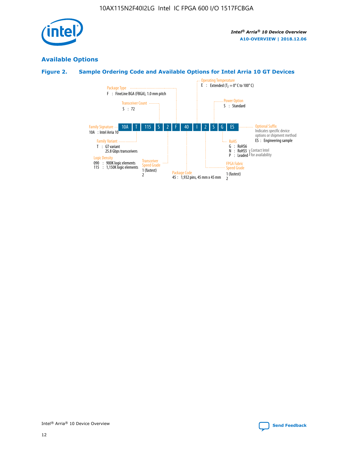

# **Available Options**

# **Figure 2. Sample Ordering Code and Available Options for Intel Arria 10 GT Devices**

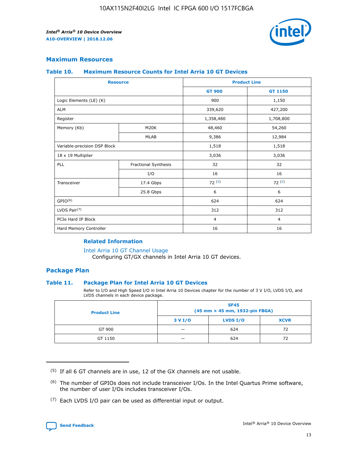

## **Maximum Resources**

#### **Table 10. Maximum Resource Counts for Intel Arria 10 GT Devices**

|                              | <b>Resource</b>      | <b>Product Line</b> |                |  |
|------------------------------|----------------------|---------------------|----------------|--|
|                              |                      | <b>GT 900</b>       | GT 1150        |  |
| Logic Elements (LE) (K)      |                      | 900                 | 1,150          |  |
| <b>ALM</b>                   |                      | 339,620             | 427,200        |  |
| Register                     |                      | 1,358,480           | 1,708,800      |  |
| Memory (Kb)                  | M20K                 | 48,460              | 54,260         |  |
|                              | <b>MLAB</b>          | 9,386               | 12,984         |  |
| Variable-precision DSP Block |                      | 1,518               | 1,518          |  |
| 18 x 19 Multiplier           |                      | 3,036               | 3,036          |  |
| PLL                          | Fractional Synthesis | 32                  | 32             |  |
|                              | I/O                  | 16                  | 16             |  |
| Transceiver                  | 17.4 Gbps            | 72(5)               | 72(5)          |  |
|                              | 25.8 Gbps            | 6                   | 6              |  |
| GPIO <sup>(6)</sup>          |                      | 624                 | 624            |  |
| LVDS Pair $(7)$              |                      | 312                 | 312            |  |
| PCIe Hard IP Block           |                      | $\overline{4}$      | $\overline{4}$ |  |
| Hard Memory Controller       |                      | 16                  | 16             |  |

#### **Related Information**

#### [Intel Arria 10 GT Channel Usage](https://www.intel.com/content/www/us/en/programmable/documentation/nik1398707230472.html#nik1398707008178)

Configuring GT/GX channels in Intel Arria 10 GT devices.

## **Package Plan**

#### **Table 11. Package Plan for Intel Arria 10 GT Devices**

Refer to I/O and High Speed I/O in Intel Arria 10 Devices chapter for the number of 3 V I/O, LVDS I/O, and LVDS channels in each device package.

| <b>Product Line</b> | <b>SF45</b><br>(45 mm × 45 mm, 1932-pin FBGA) |                 |             |  |  |  |
|---------------------|-----------------------------------------------|-----------------|-------------|--|--|--|
|                     | 3 V I/O                                       | <b>LVDS I/O</b> | <b>XCVR</b> |  |  |  |
| GT 900              |                                               | 624             | 72          |  |  |  |
| GT 1150             |                                               | 624             | 72          |  |  |  |

<sup>(7)</sup> Each LVDS I/O pair can be used as differential input or output.



 $(5)$  If all 6 GT channels are in use, 12 of the GX channels are not usable.

<sup>(6)</sup> The number of GPIOs does not include transceiver I/Os. In the Intel Quartus Prime software, the number of user I/Os includes transceiver I/Os.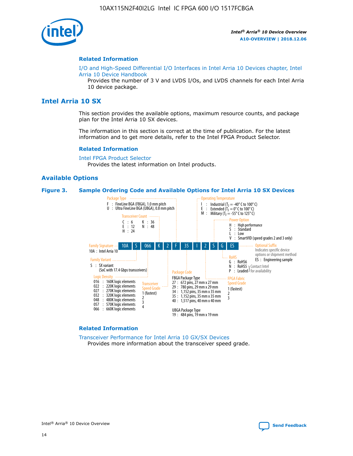

#### **Related Information**

[I/O and High-Speed Differential I/O Interfaces in Intel Arria 10 Devices chapter, Intel](https://www.intel.com/content/www/us/en/programmable/documentation/sam1403482614086.html#sam1403482030321) [Arria 10 Device Handbook](https://www.intel.com/content/www/us/en/programmable/documentation/sam1403482614086.html#sam1403482030321)

Provides the number of 3 V and LVDS I/Os, and LVDS channels for each Intel Arria 10 device package.

# **Intel Arria 10 SX**

This section provides the available options, maximum resource counts, and package plan for the Intel Arria 10 SX devices.

The information in this section is correct at the time of publication. For the latest information and to get more details, refer to the Intel FPGA Product Selector.

#### **Related Information**

[Intel FPGA Product Selector](http://www.altera.com/products/selector/psg-selector.html) Provides the latest information on Intel products.

#### **Available Options**

#### **Figure 3. Sample Ordering Code and Available Options for Intel Arria 10 SX Devices**



#### **Related Information**

[Transceiver Performance for Intel Arria 10 GX/SX Devices](https://www.intel.com/content/www/us/en/programmable/documentation/mcn1413182292568.html#mcn1413213965502) Provides more information about the transceiver speed grade.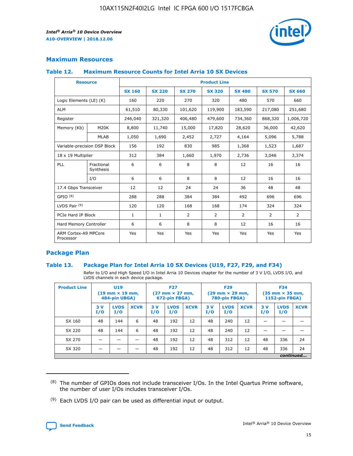

## **Maximum Resources**

#### **Table 12. Maximum Resource Counts for Intel Arria 10 SX Devices**

| <b>Resource</b>                   |                         | <b>Product Line</b> |               |                |                |               |                |               |  |  |  |
|-----------------------------------|-------------------------|---------------------|---------------|----------------|----------------|---------------|----------------|---------------|--|--|--|
|                                   |                         | <b>SX 160</b>       | <b>SX 220</b> | <b>SX 270</b>  | <b>SX 320</b>  | <b>SX 480</b> | <b>SX 570</b>  | <b>SX 660</b> |  |  |  |
| Logic Elements (LE) (K)           |                         | 160                 | 220           | 270            | 320            | 480           | 570            | 660           |  |  |  |
| <b>ALM</b>                        |                         | 61,510              | 80,330        | 101,620        | 119,900        | 183,590       | 217,080        | 251,680       |  |  |  |
| Register                          |                         | 246,040             | 321,320       | 406,480        | 479,600        | 734,360       | 868,320        | 1,006,720     |  |  |  |
| Memory (Kb)                       | M <sub>20</sub> K       | 8,800               | 11,740        | 15,000         | 17,820         | 28,620        | 36,000         | 42,620        |  |  |  |
|                                   | <b>MLAB</b>             | 1,050               | 1,690         | 2,452          | 2,727          | 4,164         | 5,096          | 5,788         |  |  |  |
| Variable-precision DSP Block      |                         | 156                 | 192           | 830            | 985            | 1,368         | 1,523          | 1,687         |  |  |  |
|                                   | 18 x 19 Multiplier      |                     | 384           | 1,660          | 1,970          | 2,736         | 3,046          | 3,374         |  |  |  |
| PLL                               | Fractional<br>Synthesis | 6                   | 6             | 8              | 8              | 12            | 16             | 16            |  |  |  |
|                                   | I/O                     | 6                   | 6             | 8              | 8              | 12            | 16             | 16            |  |  |  |
| 17.4 Gbps Transceiver             |                         | 12                  | 12            | 24             | 24             | 36            | 48             | 48            |  |  |  |
| GPIO <sup>(8)</sup>               |                         | 288                 | 288           | 384            | 384            | 492           | 696            | 696           |  |  |  |
| LVDS Pair $(9)$                   |                         | 120                 | 120           | 168            | 168            | 174           | 324            | 324           |  |  |  |
| PCIe Hard IP Block                |                         | $\mathbf{1}$        | 1             | $\overline{2}$ | $\overline{2}$ | 2             | $\overline{2}$ | 2             |  |  |  |
| Hard Memory Controller            |                         | 6                   | 6             | 8              | 8              | 12            | 16             | 16            |  |  |  |
| ARM Cortex-A9 MPCore<br>Processor |                         | Yes                 | Yes           | Yes            | Yes            | Yes           | Yes            | Yes           |  |  |  |

## **Package Plan**

#### **Table 13. Package Plan for Intel Arria 10 SX Devices (U19, F27, F29, and F34)**

Refer to I/O and High Speed I/O in Intel Arria 10 Devices chapter for the number of 3 V I/O, LVDS I/O, and LVDS channels in each device package.

| <b>Product Line</b> | U19<br>$(19 \text{ mm} \times 19 \text{ mm})$<br>484-pin UBGA) |                    | <b>F27</b><br>$(27 \text{ mm} \times 27 \text{ mm})$<br>672-pin FBGA) |           | <b>F29</b><br>$(29 \text{ mm} \times 29 \text{ mm})$<br>780-pin FBGA) |             |            | <b>F34</b><br>$(35 \text{ mm} \times 35 \text{ mm})$<br><b>1152-pin FBGA)</b> |             |           |                    |             |
|---------------------|----------------------------------------------------------------|--------------------|-----------------------------------------------------------------------|-----------|-----------------------------------------------------------------------|-------------|------------|-------------------------------------------------------------------------------|-------------|-----------|--------------------|-------------|
|                     | 3V<br>I/O                                                      | <b>LVDS</b><br>I/O | <b>XCVR</b>                                                           | 3V<br>I/O | <b>LVDS</b><br>I/O                                                    | <b>XCVR</b> | 3 V<br>I/O | <b>LVDS</b><br>I/O                                                            | <b>XCVR</b> | 3V<br>I/O | <b>LVDS</b><br>I/O | <b>XCVR</b> |
| SX 160              | 48                                                             | 144                | 6                                                                     | 48        | 192                                                                   | 12          | 48         | 240                                                                           | 12          | –         |                    |             |
| SX 220              | 48                                                             | 144                | 6                                                                     | 48        | 192                                                                   | 12          | 48         | 240                                                                           | 12          |           |                    |             |
| SX 270              |                                                                |                    |                                                                       | 48        | 192                                                                   | 12          | 48         | 312                                                                           | 12          | 48        | 336                | 24          |
| SX 320              |                                                                |                    |                                                                       | 48        | 192                                                                   | 12          | 48         | 312                                                                           | 12          | 48        | 336                | 24          |
|                     | continued                                                      |                    |                                                                       |           |                                                                       |             |            |                                                                               |             |           |                    |             |

 $(8)$  The number of GPIOs does not include transceiver I/Os. In the Intel Quartus Prime software, the number of user I/Os includes transceiver I/Os.

 $(9)$  Each LVDS I/O pair can be used as differential input or output.

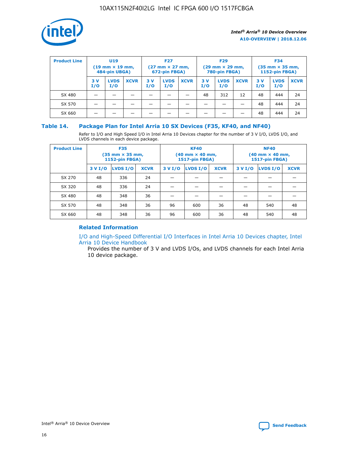

| <b>Product Line</b> | U <sub>19</sub><br>$(19 \text{ mm} \times 19 \text{ mm})$<br>484-pin UBGA) |                    | <b>F27</b><br>$(27 \text{ mm} \times 27 \text{ mm})$<br>672-pin FBGA) |           | <b>F29</b><br>$(29$ mm $\times$ 29 mm,<br>780-pin FBGA) |             |           | <b>F34</b><br>$(35$ mm $\times$ 35 mm,<br><b>1152-pin FBGA)</b> |             |            |                    |             |
|---------------------|----------------------------------------------------------------------------|--------------------|-----------------------------------------------------------------------|-----------|---------------------------------------------------------|-------------|-----------|-----------------------------------------------------------------|-------------|------------|--------------------|-------------|
|                     | 3 V<br>I/O                                                                 | <b>LVDS</b><br>I/O | <b>XCVR</b>                                                           | 3V<br>I/O | <b>LVDS</b><br>I/O                                      | <b>XCVR</b> | 3V<br>I/O | <b>LVDS</b><br>I/O                                              | <b>XCVR</b> | 3 V<br>I/O | <b>LVDS</b><br>I/O | <b>XCVR</b> |
| SX 480              |                                                                            |                    |                                                                       |           |                                                         |             | 48        | 312                                                             | 12          | 48         | 444                | 24          |
| SX 570              |                                                                            |                    |                                                                       |           |                                                         |             |           |                                                                 |             | 48         | 444                | 24          |
| SX 660              |                                                                            |                    |                                                                       |           |                                                         |             |           |                                                                 |             | 48         | 444                | 24          |

## **Table 14. Package Plan for Intel Arria 10 SX Devices (F35, KF40, and NF40)**

Refer to I/O and High Speed I/O in Intel Arria 10 Devices chapter for the number of 3 V I/O, LVDS I/O, and LVDS channels in each device package.

| <b>Product Line</b> | <b>F35</b><br>$(35 \text{ mm} \times 35 \text{ mm})$<br><b>1152-pin FBGA)</b> |          |             |                                           | <b>KF40</b><br>(40 mm × 40 mm,<br>1517-pin FBGA) |    | <b>NF40</b><br>$(40 \text{ mm} \times 40 \text{ mm})$<br>1517-pin FBGA) |          |             |  |
|---------------------|-------------------------------------------------------------------------------|----------|-------------|-------------------------------------------|--------------------------------------------------|----|-------------------------------------------------------------------------|----------|-------------|--|
|                     | 3 V I/O                                                                       | LVDS I/O | <b>XCVR</b> | <b>LVDS I/O</b><br><b>XCVR</b><br>3 V I/O |                                                  |    | 3 V I/O                                                                 | LVDS I/O | <b>XCVR</b> |  |
| SX 270              | 48                                                                            | 336      | 24          |                                           |                                                  |    |                                                                         |          |             |  |
| SX 320              | 48                                                                            | 336      | 24          |                                           |                                                  |    |                                                                         |          |             |  |
| SX 480              | 48                                                                            | 348      | 36          |                                           |                                                  |    |                                                                         |          |             |  |
| SX 570              | 48                                                                            | 348      | 36          | 96                                        | 600                                              | 36 | 48                                                                      | 540      | 48          |  |
| SX 660              | 48                                                                            | 348      | 36          | 96                                        | 600                                              | 36 | 48                                                                      | 540      | 48          |  |

# **Related Information**

[I/O and High-Speed Differential I/O Interfaces in Intel Arria 10 Devices chapter, Intel](https://www.intel.com/content/www/us/en/programmable/documentation/sam1403482614086.html#sam1403482030321) [Arria 10 Device Handbook](https://www.intel.com/content/www/us/en/programmable/documentation/sam1403482614086.html#sam1403482030321)

Provides the number of 3 V and LVDS I/Os, and LVDS channels for each Intel Arria 10 device package.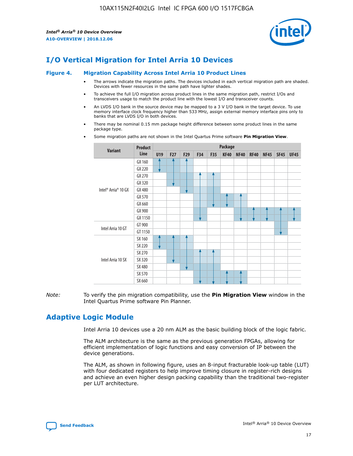

# **I/O Vertical Migration for Intel Arria 10 Devices**

#### **Figure 4. Migration Capability Across Intel Arria 10 Product Lines**

- The arrows indicate the migration paths. The devices included in each vertical migration path are shaded. Devices with fewer resources in the same path have lighter shades.
- To achieve the full I/O migration across product lines in the same migration path, restrict I/Os and transceivers usage to match the product line with the lowest I/O and transceiver counts.
- An LVDS I/O bank in the source device may be mapped to a 3 V I/O bank in the target device. To use memory interface clock frequency higher than 533 MHz, assign external memory interface pins only to banks that are LVDS I/O in both devices.
- There may be nominal 0.15 mm package height difference between some product lines in the same package type.
	- **Variant Product Line Package U19 F27 F29 F34 F35 KF40 NF40 RF40 NF45 SF45 UF45** Intel® Arria® 10 GX GX 160 GX 220 GX 270 GX 320 GX 480 GX 570 GX 660 GX 900 GX 1150 Intel Arria 10 GT GT 900 GT 1150 Intel Arria 10 SX SX 160 SX 220 SX 270 SX 320 SX 480 SX 570 SX 660
- Some migration paths are not shown in the Intel Quartus Prime software **Pin Migration View**.

*Note:* To verify the pin migration compatibility, use the **Pin Migration View** window in the Intel Quartus Prime software Pin Planner.

# **Adaptive Logic Module**

Intel Arria 10 devices use a 20 nm ALM as the basic building block of the logic fabric.

The ALM architecture is the same as the previous generation FPGAs, allowing for efficient implementation of logic functions and easy conversion of IP between the device generations.

The ALM, as shown in following figure, uses an 8-input fracturable look-up table (LUT) with four dedicated registers to help improve timing closure in register-rich designs and achieve an even higher design packing capability than the traditional two-register per LUT architecture.

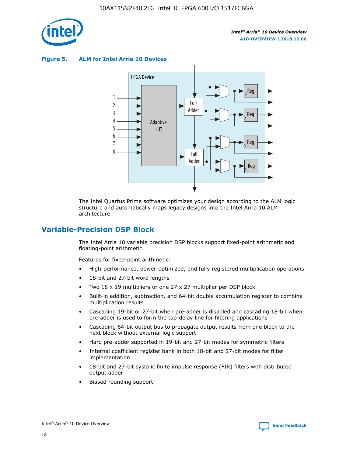

**Figure 5. ALM for Intel Arria 10 Devices**



The Intel Quartus Prime software optimizes your design according to the ALM logic structure and automatically maps legacy designs into the Intel Arria 10 ALM architecture.

# **Variable-Precision DSP Block**

The Intel Arria 10 variable precision DSP blocks support fixed-point arithmetic and floating-point arithmetic.

Features for fixed-point arithmetic:

- High-performance, power-optimized, and fully registered multiplication operations
- 18-bit and 27-bit word lengths
- Two 18 x 19 multipliers or one 27 x 27 multiplier per DSP block
- Built-in addition, subtraction, and 64-bit double accumulation register to combine multiplication results
- Cascading 19-bit or 27-bit when pre-adder is disabled and cascading 18-bit when pre-adder is used to form the tap-delay line for filtering applications
- Cascading 64-bit output bus to propagate output results from one block to the next block without external logic support
- Hard pre-adder supported in 19-bit and 27-bit modes for symmetric filters
- Internal coefficient register bank in both 18-bit and 27-bit modes for filter implementation
- 18-bit and 27-bit systolic finite impulse response (FIR) filters with distributed output adder
- Biased rounding support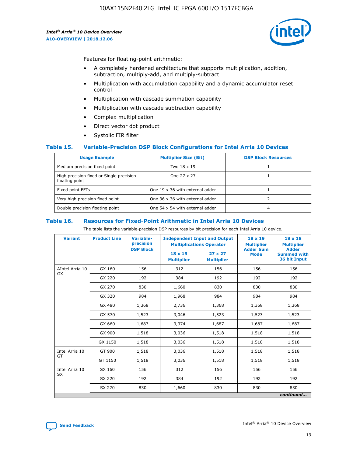

Features for floating-point arithmetic:

- A completely hardened architecture that supports multiplication, addition, subtraction, multiply-add, and multiply-subtract
- Multiplication with accumulation capability and a dynamic accumulator reset control
- Multiplication with cascade summation capability
- Multiplication with cascade subtraction capability
- Complex multiplication
- Direct vector dot product
- Systolic FIR filter

#### **Table 15. Variable-Precision DSP Block Configurations for Intel Arria 10 Devices**

| <b>Usage Example</b>                                       | <b>Multiplier Size (Bit)</b>    | <b>DSP Block Resources</b> |
|------------------------------------------------------------|---------------------------------|----------------------------|
| Medium precision fixed point                               | Two 18 x 19                     |                            |
| High precision fixed or Single precision<br>floating point | One 27 x 27                     |                            |
| Fixed point FFTs                                           | One 19 x 36 with external adder |                            |
| Very high precision fixed point                            | One 36 x 36 with external adder |                            |
| Double precision floating point                            | One 54 x 54 with external adder | 4                          |

#### **Table 16. Resources for Fixed-Point Arithmetic in Intel Arria 10 Devices**

The table lists the variable-precision DSP resources by bit precision for each Intel Arria 10 device.

| <b>Variant</b>  | <b>Product Line</b> | <b>Variable-</b><br>precision<br><b>DSP Block</b> | <b>Independent Input and Output</b><br><b>Multiplications Operator</b> |                                     | 18 x 19<br><b>Multiplier</b><br><b>Adder Sum</b> | $18 \times 18$<br><b>Multiplier</b><br><b>Adder</b> |
|-----------------|---------------------|---------------------------------------------------|------------------------------------------------------------------------|-------------------------------------|--------------------------------------------------|-----------------------------------------------------|
|                 |                     |                                                   | 18 x 19<br><b>Multiplier</b>                                           | $27 \times 27$<br><b>Multiplier</b> | <b>Mode</b>                                      | <b>Summed with</b><br>36 bit Input                  |
| AIntel Arria 10 | GX 160              | 156                                               | 312                                                                    | 156                                 | 156                                              | 156                                                 |
| GX              | GX 220              | 192                                               | 384                                                                    | 192                                 | 192                                              | 192                                                 |
|                 | GX 270              | 830                                               | 1,660                                                                  | 830                                 | 830                                              | 830                                                 |
|                 | GX 320              | 984                                               | 1,968                                                                  | 984                                 | 984                                              | 984                                                 |
|                 | GX 480              | 1,368                                             | 2,736                                                                  | 1,368                               | 1,368                                            | 1,368                                               |
|                 | GX 570              | 1,523                                             | 3,046                                                                  | 1,523                               | 1,523                                            | 1,523                                               |
|                 | GX 660              | 1,687                                             | 3,374                                                                  | 1,687                               | 1,687                                            | 1,687                                               |
|                 | GX 900              | 1,518                                             | 3,036                                                                  | 1,518                               | 1,518                                            | 1,518                                               |
|                 | GX 1150             | 1,518                                             | 3,036                                                                  | 1,518                               | 1,518                                            | 1,518                                               |
| Intel Arria 10  | GT 900              | 1,518                                             | 3,036                                                                  | 1,518                               | 1,518                                            | 1,518                                               |
| GT              | GT 1150             | 1,518                                             | 3,036                                                                  | 1,518                               | 1,518                                            | 1,518                                               |
| Intel Arria 10  | SX 160              | 156                                               | 312                                                                    | 156                                 | 156                                              | 156                                                 |
| <b>SX</b>       | SX 220              | 192                                               | 384                                                                    | 192                                 | 192                                              | 192                                                 |
|                 | SX 270              | 830                                               | 1,660                                                                  | 830                                 | 830                                              | 830                                                 |
|                 |                     |                                                   |                                                                        |                                     |                                                  | continued                                           |

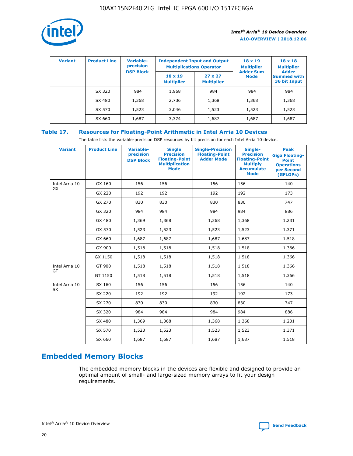

| <b>Variant</b> | <b>Product Line</b> | Variable-<br>precision | <b>Independent Input and Output</b><br><b>Multiplications Operator</b> |                                     | $18 \times 19$<br><b>Multiplier</b> | $18 \times 18$<br><b>Multiplier</b><br><b>Adder</b> |  |
|----------------|---------------------|------------------------|------------------------------------------------------------------------|-------------------------------------|-------------------------------------|-----------------------------------------------------|--|
|                |                     | <b>DSP Block</b>       | $18 \times 19$<br><b>Multiplier</b>                                    | $27 \times 27$<br><b>Multiplier</b> | <b>Adder Sum</b><br><b>Mode</b>     | <b>Summed with</b><br>36 bit Input                  |  |
|                | SX 320              | 984                    | 1,968                                                                  | 984                                 | 984                                 | 984                                                 |  |
|                | SX 480              | 1,368                  | 2,736                                                                  | 1,368                               | 1,368                               | 1,368                                               |  |
|                | SX 570              | 1,523                  | 3,046                                                                  | 1,523                               | 1,523                               | 1,523                                               |  |
|                | SX 660              | 1,687                  | 3,374                                                                  | 1,687                               | 1,687                               | 1,687                                               |  |

# **Table 17. Resources for Floating-Point Arithmetic in Intel Arria 10 Devices**

The table lists the variable-precision DSP resources by bit precision for each Intel Arria 10 device.

| <b>Variant</b> | <b>Product Line</b> | <b>Variable-</b><br>precision<br><b>DSP Block</b> | <b>Single</b><br><b>Precision</b><br><b>Floating-Point</b><br><b>Multiplication</b><br><b>Mode</b> | <b>Single-Precision</b><br><b>Floating-Point</b><br><b>Adder Mode</b> | Single-<br><b>Precision</b><br><b>Floating-Point</b><br><b>Multiply</b><br><b>Accumulate</b><br><b>Mode</b> | <b>Peak</b><br><b>Giga Floating-</b><br><b>Point</b><br><b>Operations</b><br>per Second<br>(GFLOPs) |
|----------------|---------------------|---------------------------------------------------|----------------------------------------------------------------------------------------------------|-----------------------------------------------------------------------|-------------------------------------------------------------------------------------------------------------|-----------------------------------------------------------------------------------------------------|
| Intel Arria 10 | GX 160              | 156                                               | 156                                                                                                | 156                                                                   | 156                                                                                                         | 140                                                                                                 |
| <b>GX</b>      | GX 220              | 192                                               | 192                                                                                                | 192                                                                   | 192                                                                                                         | 173                                                                                                 |
|                | GX 270              | 830                                               | 830                                                                                                | 830                                                                   | 830                                                                                                         | 747                                                                                                 |
|                | GX 320              | 984                                               | 984                                                                                                | 984                                                                   | 984                                                                                                         | 886                                                                                                 |
|                | GX 480              | 1,369                                             | 1,368                                                                                              | 1,368                                                                 | 1,368                                                                                                       | 1,231                                                                                               |
|                | GX 570              | 1,523                                             | 1,523                                                                                              | 1,523                                                                 | 1,523                                                                                                       | 1,371                                                                                               |
|                | GX 660              | 1,687                                             | 1,687                                                                                              | 1,687                                                                 | 1,687                                                                                                       | 1,518                                                                                               |
|                | GX 900              | 1,518                                             | 1,518                                                                                              | 1,518                                                                 | 1,518                                                                                                       | 1,366                                                                                               |
|                | GX 1150             | 1,518                                             | 1,518                                                                                              | 1,518                                                                 | 1,518                                                                                                       | 1,366                                                                                               |
| Intel Arria 10 | GT 900              | 1,518                                             | 1,518                                                                                              | 1,518                                                                 | 1,518                                                                                                       | 1,366                                                                                               |
| GT             | GT 1150             | 1,518                                             | 1,518                                                                                              | 1,518                                                                 | 1,518                                                                                                       | 1,366                                                                                               |
| Intel Arria 10 | SX 160              | 156                                               | 156                                                                                                | 156                                                                   | 156                                                                                                         | 140                                                                                                 |
| SX             | SX 220              | 192                                               | 192                                                                                                | 192                                                                   | 192                                                                                                         | 173                                                                                                 |
|                | SX 270              | 830                                               | 830                                                                                                | 830                                                                   | 830                                                                                                         | 747                                                                                                 |
|                | SX 320              | 984                                               | 984                                                                                                | 984                                                                   | 984                                                                                                         | 886                                                                                                 |
|                | SX 480              | 1,369                                             | 1,368                                                                                              | 1,368                                                                 | 1,368                                                                                                       | 1,231                                                                                               |
|                | SX 570              | 1,523                                             | 1,523                                                                                              | 1,523                                                                 | 1,523                                                                                                       | 1,371                                                                                               |
|                | SX 660              | 1,687                                             | 1,687                                                                                              | 1,687                                                                 | 1,687                                                                                                       | 1,518                                                                                               |

# **Embedded Memory Blocks**

The embedded memory blocks in the devices are flexible and designed to provide an optimal amount of small- and large-sized memory arrays to fit your design requirements.

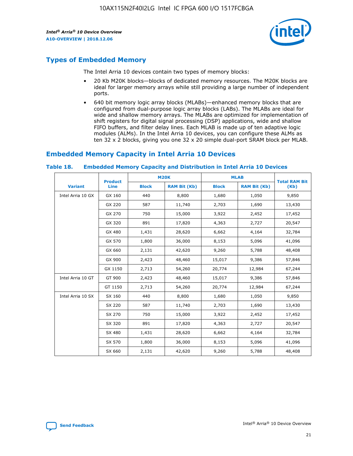

# **Types of Embedded Memory**

The Intel Arria 10 devices contain two types of memory blocks:

- 20 Kb M20K blocks—blocks of dedicated memory resources. The M20K blocks are ideal for larger memory arrays while still providing a large number of independent ports.
- 640 bit memory logic array blocks (MLABs)—enhanced memory blocks that are configured from dual-purpose logic array blocks (LABs). The MLABs are ideal for wide and shallow memory arrays. The MLABs are optimized for implementation of shift registers for digital signal processing (DSP) applications, wide and shallow FIFO buffers, and filter delay lines. Each MLAB is made up of ten adaptive logic modules (ALMs). In the Intel Arria 10 devices, you can configure these ALMs as ten 32 x 2 blocks, giving you one 32 x 20 simple dual-port SRAM block per MLAB.

# **Embedded Memory Capacity in Intel Arria 10 Devices**

|                   | <b>Product</b> |              | <b>M20K</b>         | <b>MLAB</b>  |                     | <b>Total RAM Bit</b> |
|-------------------|----------------|--------------|---------------------|--------------|---------------------|----------------------|
| <b>Variant</b>    | <b>Line</b>    | <b>Block</b> | <b>RAM Bit (Kb)</b> | <b>Block</b> | <b>RAM Bit (Kb)</b> | (Kb)                 |
| Intel Arria 10 GX | GX 160         | 440          | 8,800               | 1,680        | 1,050               | 9,850                |
|                   | GX 220         | 587          | 11,740              | 2,703        | 1,690               | 13,430               |
|                   | GX 270         | 750          | 15,000              | 3,922        | 2,452               | 17,452               |
|                   | GX 320         | 891          | 17,820              | 4,363        | 2,727               | 20,547               |
|                   | GX 480         | 1,431        | 28,620              | 6,662        | 4,164               | 32,784               |
|                   | GX 570         | 1,800        | 36,000              | 8,153        | 5,096               | 41,096               |
|                   | GX 660         | 2,131        | 42,620              | 9,260        | 5,788               | 48,408               |
|                   | GX 900         | 2,423        | 48,460              | 15,017       | 9,386               | 57,846               |
|                   | GX 1150        | 2,713        | 54,260              | 20,774       | 12,984              | 67,244               |
| Intel Arria 10 GT | GT 900         | 2,423        | 48,460              | 15,017       | 9,386               | 57,846               |
|                   | GT 1150        | 2,713        | 54,260              | 20,774       | 12,984              | 67,244               |
| Intel Arria 10 SX | SX 160         | 440          | 8,800               | 1,680        | 1,050               | 9,850                |
|                   | SX 220         | 587          | 11,740              | 2,703        | 1,690               | 13,430               |
|                   | SX 270         | 750          | 15,000              | 3,922        | 2,452               | 17,452               |
|                   | SX 320         | 891          | 17,820              | 4,363        | 2,727               | 20,547               |
|                   | SX 480         | 1,431        | 28,620              | 6,662        | 4,164               | 32,784               |
|                   | SX 570         | 1,800        | 36,000              | 8,153        | 5,096               | 41,096               |
|                   | SX 660         | 2,131        | 42,620              | 9,260        | 5,788               | 48,408               |

#### **Table 18. Embedded Memory Capacity and Distribution in Intel Arria 10 Devices**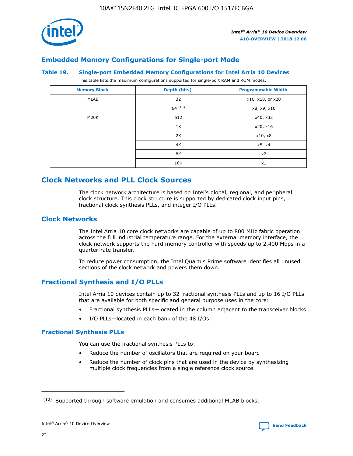

# **Embedded Memory Configurations for Single-port Mode**

#### **Table 19. Single-port Embedded Memory Configurations for Intel Arria 10 Devices**

This table lists the maximum configurations supported for single-port RAM and ROM modes.

| <b>Memory Block</b> | Depth (bits) | <b>Programmable Width</b> |
|---------------------|--------------|---------------------------|
| MLAB                | 32           | x16, x18, or x20          |
|                     | 64(10)       | x8, x9, x10               |
| M20K                | 512          | x40, x32                  |
|                     | 1K           | x20, x16                  |
|                     | 2K           | x10, x8                   |
|                     | 4K           | x5, x4                    |
|                     | 8K           | x2                        |
|                     | 16K          | x1                        |

# **Clock Networks and PLL Clock Sources**

The clock network architecture is based on Intel's global, regional, and peripheral clock structure. This clock structure is supported by dedicated clock input pins, fractional clock synthesis PLLs, and integer I/O PLLs.

# **Clock Networks**

The Intel Arria 10 core clock networks are capable of up to 800 MHz fabric operation across the full industrial temperature range. For the external memory interface, the clock network supports the hard memory controller with speeds up to 2,400 Mbps in a quarter-rate transfer.

To reduce power consumption, the Intel Quartus Prime software identifies all unused sections of the clock network and powers them down.

# **Fractional Synthesis and I/O PLLs**

Intel Arria 10 devices contain up to 32 fractional synthesis PLLs and up to 16 I/O PLLs that are available for both specific and general purpose uses in the core:

- Fractional synthesis PLLs—located in the column adjacent to the transceiver blocks
- I/O PLLs—located in each bank of the 48 I/Os

## **Fractional Synthesis PLLs**

You can use the fractional synthesis PLLs to:

- Reduce the number of oscillators that are required on your board
- Reduce the number of clock pins that are used in the device by synthesizing multiple clock frequencies from a single reference clock source

<sup>(10)</sup> Supported through software emulation and consumes additional MLAB blocks.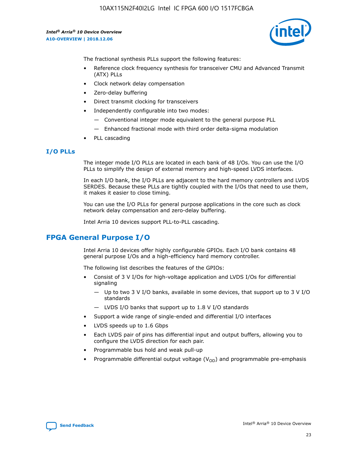

The fractional synthesis PLLs support the following features:

- Reference clock frequency synthesis for transceiver CMU and Advanced Transmit (ATX) PLLs
- Clock network delay compensation
- Zero-delay buffering
- Direct transmit clocking for transceivers
- Independently configurable into two modes:
	- Conventional integer mode equivalent to the general purpose PLL
	- Enhanced fractional mode with third order delta-sigma modulation
- PLL cascading

## **I/O PLLs**

The integer mode I/O PLLs are located in each bank of 48 I/Os. You can use the I/O PLLs to simplify the design of external memory and high-speed LVDS interfaces.

In each I/O bank, the I/O PLLs are adjacent to the hard memory controllers and LVDS SERDES. Because these PLLs are tightly coupled with the I/Os that need to use them, it makes it easier to close timing.

You can use the I/O PLLs for general purpose applications in the core such as clock network delay compensation and zero-delay buffering.

Intel Arria 10 devices support PLL-to-PLL cascading.

# **FPGA General Purpose I/O**

Intel Arria 10 devices offer highly configurable GPIOs. Each I/O bank contains 48 general purpose I/Os and a high-efficiency hard memory controller.

The following list describes the features of the GPIOs:

- Consist of 3 V I/Os for high-voltage application and LVDS I/Os for differential signaling
	- Up to two 3 V I/O banks, available in some devices, that support up to 3 V I/O standards
	- LVDS I/O banks that support up to 1.8 V I/O standards
- Support a wide range of single-ended and differential I/O interfaces
- LVDS speeds up to 1.6 Gbps
- Each LVDS pair of pins has differential input and output buffers, allowing you to configure the LVDS direction for each pair.
- Programmable bus hold and weak pull-up
- Programmable differential output voltage  $(V_{OD})$  and programmable pre-emphasis

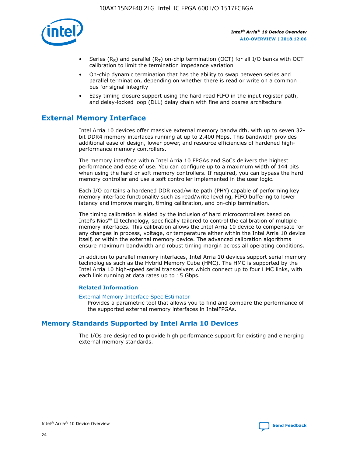

- Series (R<sub>S</sub>) and parallel (R<sub>T</sub>) on-chip termination (OCT) for all I/O banks with OCT calibration to limit the termination impedance variation
- On-chip dynamic termination that has the ability to swap between series and parallel termination, depending on whether there is read or write on a common bus for signal integrity
- Easy timing closure support using the hard read FIFO in the input register path, and delay-locked loop (DLL) delay chain with fine and coarse architecture

# **External Memory Interface**

Intel Arria 10 devices offer massive external memory bandwidth, with up to seven 32 bit DDR4 memory interfaces running at up to 2,400 Mbps. This bandwidth provides additional ease of design, lower power, and resource efficiencies of hardened highperformance memory controllers.

The memory interface within Intel Arria 10 FPGAs and SoCs delivers the highest performance and ease of use. You can configure up to a maximum width of 144 bits when using the hard or soft memory controllers. If required, you can bypass the hard memory controller and use a soft controller implemented in the user logic.

Each I/O contains a hardened DDR read/write path (PHY) capable of performing key memory interface functionality such as read/write leveling, FIFO buffering to lower latency and improve margin, timing calibration, and on-chip termination.

The timing calibration is aided by the inclusion of hard microcontrollers based on Intel's Nios® II technology, specifically tailored to control the calibration of multiple memory interfaces. This calibration allows the Intel Arria 10 device to compensate for any changes in process, voltage, or temperature either within the Intel Arria 10 device itself, or within the external memory device. The advanced calibration algorithms ensure maximum bandwidth and robust timing margin across all operating conditions.

In addition to parallel memory interfaces, Intel Arria 10 devices support serial memory technologies such as the Hybrid Memory Cube (HMC). The HMC is supported by the Intel Arria 10 high-speed serial transceivers which connect up to four HMC links, with each link running at data rates up to 15 Gbps.

#### **Related Information**

#### [External Memory Interface Spec Estimator](http://www.altera.com/technology/memory/estimator/mem-emif-index.html)

Provides a parametric tool that allows you to find and compare the performance of the supported external memory interfaces in IntelFPGAs.

# **Memory Standards Supported by Intel Arria 10 Devices**

The I/Os are designed to provide high performance support for existing and emerging external memory standards.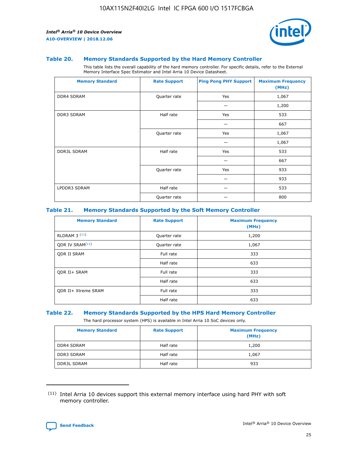

#### **Table 20. Memory Standards Supported by the Hard Memory Controller**

This table lists the overall capability of the hard memory controller. For specific details, refer to the External Memory Interface Spec Estimator and Intel Arria 10 Device Datasheet.

| <b>Memory Standard</b> | <b>Rate Support</b> | <b>Ping Pong PHY Support</b> | <b>Maximum Frequency</b><br>(MHz) |
|------------------------|---------------------|------------------------------|-----------------------------------|
| <b>DDR4 SDRAM</b>      | Quarter rate        | Yes                          | 1,067                             |
|                        |                     |                              | 1,200                             |
| DDR3 SDRAM             | Half rate           | Yes                          | 533                               |
|                        |                     |                              | 667                               |
|                        | Quarter rate        | Yes                          | 1,067                             |
|                        |                     |                              | 1,067                             |
| <b>DDR3L SDRAM</b>     | Half rate           | Yes                          | 533                               |
|                        |                     |                              | 667                               |
|                        | Quarter rate        | Yes                          | 933                               |
|                        |                     |                              | 933                               |
| LPDDR3 SDRAM           | Half rate           |                              | 533                               |
|                        | Quarter rate        |                              | 800                               |

#### **Table 21. Memory Standards Supported by the Soft Memory Controller**

| <b>Memory Standard</b>      | <b>Rate Support</b> | <b>Maximum Frequency</b><br>(MHz) |
|-----------------------------|---------------------|-----------------------------------|
| <b>RLDRAM 3 (11)</b>        | Quarter rate        | 1,200                             |
| ODR IV SRAM <sup>(11)</sup> | Quarter rate        | 1,067                             |
| <b>ODR II SRAM</b>          | Full rate           | 333                               |
|                             | Half rate           | 633                               |
| <b>ODR II+ SRAM</b>         | Full rate           | 333                               |
|                             | Half rate           | 633                               |
| <b>ODR II+ Xtreme SRAM</b>  | Full rate           | 333                               |
|                             | Half rate           | 633                               |

#### **Table 22. Memory Standards Supported by the HPS Hard Memory Controller**

The hard processor system (HPS) is available in Intel Arria 10 SoC devices only.

| <b>Memory Standard</b> | <b>Rate Support</b> | <b>Maximum Frequency</b><br>(MHz) |
|------------------------|---------------------|-----------------------------------|
| <b>DDR4 SDRAM</b>      | Half rate           | 1,200                             |
| <b>DDR3 SDRAM</b>      | Half rate           | 1,067                             |
| <b>DDR3L SDRAM</b>     | Half rate           | 933                               |

<sup>(11)</sup> Intel Arria 10 devices support this external memory interface using hard PHY with soft memory controller.

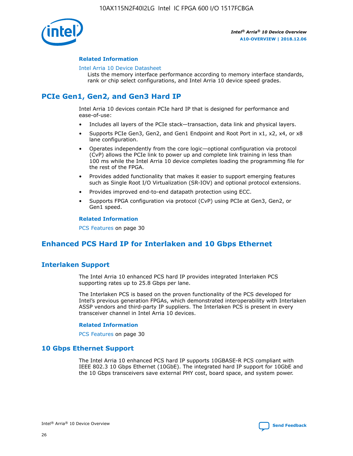

#### **Related Information**

#### [Intel Arria 10 Device Datasheet](https://www.intel.com/content/www/us/en/programmable/documentation/mcn1413182292568.html#mcn1413182153340)

Lists the memory interface performance according to memory interface standards, rank or chip select configurations, and Intel Arria 10 device speed grades.

# **PCIe Gen1, Gen2, and Gen3 Hard IP**

Intel Arria 10 devices contain PCIe hard IP that is designed for performance and ease-of-use:

- Includes all layers of the PCIe stack—transaction, data link and physical layers.
- Supports PCIe Gen3, Gen2, and Gen1 Endpoint and Root Port in x1, x2, x4, or x8 lane configuration.
- Operates independently from the core logic—optional configuration via protocol (CvP) allows the PCIe link to power up and complete link training in less than 100 ms while the Intel Arria 10 device completes loading the programming file for the rest of the FPGA.
- Provides added functionality that makes it easier to support emerging features such as Single Root I/O Virtualization (SR-IOV) and optional protocol extensions.
- Provides improved end-to-end datapath protection using ECC.
- Supports FPGA configuration via protocol (CvP) using PCIe at Gen3, Gen2, or Gen1 speed.

#### **Related Information**

PCS Features on page 30

# **Enhanced PCS Hard IP for Interlaken and 10 Gbps Ethernet**

# **Interlaken Support**

The Intel Arria 10 enhanced PCS hard IP provides integrated Interlaken PCS supporting rates up to 25.8 Gbps per lane.

The Interlaken PCS is based on the proven functionality of the PCS developed for Intel's previous generation FPGAs, which demonstrated interoperability with Interlaken ASSP vendors and third-party IP suppliers. The Interlaken PCS is present in every transceiver channel in Intel Arria 10 devices.

#### **Related Information**

PCS Features on page 30

## **10 Gbps Ethernet Support**

The Intel Arria 10 enhanced PCS hard IP supports 10GBASE-R PCS compliant with IEEE 802.3 10 Gbps Ethernet (10GbE). The integrated hard IP support for 10GbE and the 10 Gbps transceivers save external PHY cost, board space, and system power.

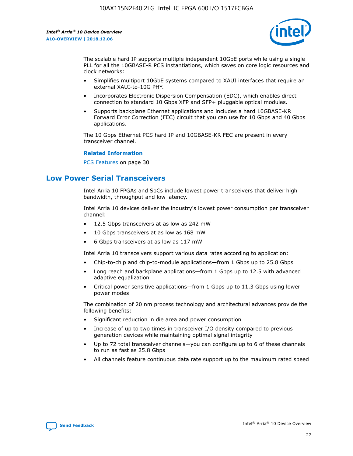

The scalable hard IP supports multiple independent 10GbE ports while using a single PLL for all the 10GBASE-R PCS instantiations, which saves on core logic resources and clock networks:

- Simplifies multiport 10GbE systems compared to XAUI interfaces that require an external XAUI-to-10G PHY.
- Incorporates Electronic Dispersion Compensation (EDC), which enables direct connection to standard 10 Gbps XFP and SFP+ pluggable optical modules.
- Supports backplane Ethernet applications and includes a hard 10GBASE-KR Forward Error Correction (FEC) circuit that you can use for 10 Gbps and 40 Gbps applications.

The 10 Gbps Ethernet PCS hard IP and 10GBASE-KR FEC are present in every transceiver channel.

#### **Related Information**

PCS Features on page 30

# **Low Power Serial Transceivers**

Intel Arria 10 FPGAs and SoCs include lowest power transceivers that deliver high bandwidth, throughput and low latency.

Intel Arria 10 devices deliver the industry's lowest power consumption per transceiver channel:

- 12.5 Gbps transceivers at as low as 242 mW
- 10 Gbps transceivers at as low as 168 mW
- 6 Gbps transceivers at as low as 117 mW

Intel Arria 10 transceivers support various data rates according to application:

- Chip-to-chip and chip-to-module applications—from 1 Gbps up to 25.8 Gbps
- Long reach and backplane applications—from 1 Gbps up to 12.5 with advanced adaptive equalization
- Critical power sensitive applications—from 1 Gbps up to 11.3 Gbps using lower power modes

The combination of 20 nm process technology and architectural advances provide the following benefits:

- Significant reduction in die area and power consumption
- Increase of up to two times in transceiver I/O density compared to previous generation devices while maintaining optimal signal integrity
- Up to 72 total transceiver channels—you can configure up to 6 of these channels to run as fast as 25.8 Gbps
- All channels feature continuous data rate support up to the maximum rated speed

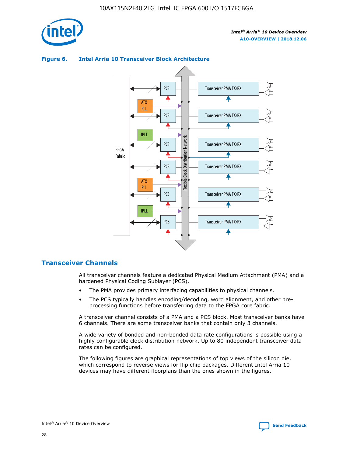

# Transceiver PMA TX/RX PCS ATX PLL Transceiver PMA TX/RX PCS fPLL Network Flexible Clock Distribution Network PCS Transceiver PMA TX/RX FPGA **Clock Distribution** Fabric PCS Transceiver PMA TX/RX ATX Flexible PLL PCS Transceiver PMA TX/RX ▲ fPLL Transceiver PMA TX/RX PCS 4

## **Figure 6. Intel Arria 10 Transceiver Block Architecture**

# **Transceiver Channels**

All transceiver channels feature a dedicated Physical Medium Attachment (PMA) and a hardened Physical Coding Sublayer (PCS).

- The PMA provides primary interfacing capabilities to physical channels.
- The PCS typically handles encoding/decoding, word alignment, and other preprocessing functions before transferring data to the FPGA core fabric.

A transceiver channel consists of a PMA and a PCS block. Most transceiver banks have 6 channels. There are some transceiver banks that contain only 3 channels.

A wide variety of bonded and non-bonded data rate configurations is possible using a highly configurable clock distribution network. Up to 80 independent transceiver data rates can be configured.

The following figures are graphical representations of top views of the silicon die, which correspond to reverse views for flip chip packages. Different Intel Arria 10 devices may have different floorplans than the ones shown in the figures.

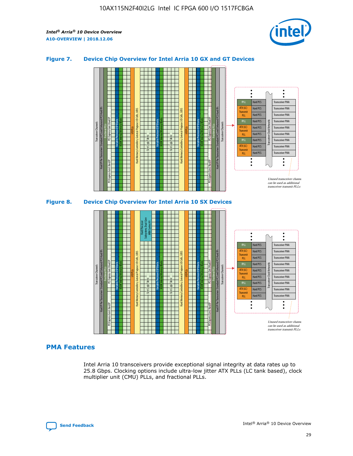

## **Figure 7. Device Chip Overview for Intel Arria 10 GX and GT Devices**





## **PMA Features**

Intel Arria 10 transceivers provide exceptional signal integrity at data rates up to 25.8 Gbps. Clocking options include ultra-low jitter ATX PLLs (LC tank based), clock multiplier unit (CMU) PLLs, and fractional PLLs.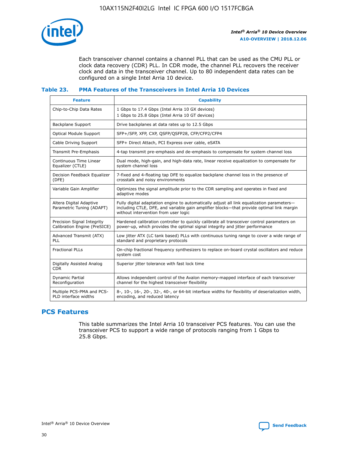

Each transceiver channel contains a channel PLL that can be used as the CMU PLL or clock data recovery (CDR) PLL. In CDR mode, the channel PLL recovers the receiver clock and data in the transceiver channel. Up to 80 independent data rates can be configured on a single Intel Arria 10 device.

## **Table 23. PMA Features of the Transceivers in Intel Arria 10 Devices**

| <b>Feature</b>                                             | <b>Capability</b>                                                                                                                                                                                                             |
|------------------------------------------------------------|-------------------------------------------------------------------------------------------------------------------------------------------------------------------------------------------------------------------------------|
| Chip-to-Chip Data Rates                                    | 1 Gbps to 17.4 Gbps (Intel Arria 10 GX devices)<br>1 Gbps to 25.8 Gbps (Intel Arria 10 GT devices)                                                                                                                            |
| Backplane Support                                          | Drive backplanes at data rates up to 12.5 Gbps                                                                                                                                                                                |
| Optical Module Support                                     | SFP+/SFP, XFP, CXP, QSFP/QSFP28, CFP/CFP2/CFP4                                                                                                                                                                                |
| Cable Driving Support                                      | SFP+ Direct Attach, PCI Express over cable, eSATA                                                                                                                                                                             |
| Transmit Pre-Emphasis                                      | 4-tap transmit pre-emphasis and de-emphasis to compensate for system channel loss                                                                                                                                             |
| Continuous Time Linear<br>Equalizer (CTLE)                 | Dual mode, high-gain, and high-data rate, linear receive equalization to compensate for<br>system channel loss                                                                                                                |
| Decision Feedback Equalizer<br>(DFE)                       | 7-fixed and 4-floating tap DFE to equalize backplane channel loss in the presence of<br>crosstalk and noisy environments                                                                                                      |
| Variable Gain Amplifier                                    | Optimizes the signal amplitude prior to the CDR sampling and operates in fixed and<br>adaptive modes                                                                                                                          |
| Altera Digital Adaptive<br>Parametric Tuning (ADAPT)       | Fully digital adaptation engine to automatically adjust all link equalization parameters-<br>including CTLE, DFE, and variable gain amplifier blocks—that provide optimal link margin<br>without intervention from user logic |
| Precision Signal Integrity<br>Calibration Engine (PreSICE) | Hardened calibration controller to quickly calibrate all transceiver control parameters on<br>power-up, which provides the optimal signal integrity and jitter performance                                                    |
| Advanced Transmit (ATX)<br>PLL                             | Low jitter ATX (LC tank based) PLLs with continuous tuning range to cover a wide range of<br>standard and proprietary protocols                                                                                               |
| <b>Fractional PLLs</b>                                     | On-chip fractional frequency synthesizers to replace on-board crystal oscillators and reduce<br>system cost                                                                                                                   |
| Digitally Assisted Analog<br><b>CDR</b>                    | Superior jitter tolerance with fast lock time                                                                                                                                                                                 |
| Dynamic Partial<br>Reconfiguration                         | Allows independent control of the Avalon memory-mapped interface of each transceiver<br>channel for the highest transceiver flexibility                                                                                       |
| Multiple PCS-PMA and PCS-<br>PLD interface widths          | 8-, 10-, 16-, 20-, 32-, 40-, or 64-bit interface widths for flexibility of deserialization width,<br>encoding, and reduced latency                                                                                            |

# **PCS Features**

This table summarizes the Intel Arria 10 transceiver PCS features. You can use the transceiver PCS to support a wide range of protocols ranging from 1 Gbps to 25.8 Gbps.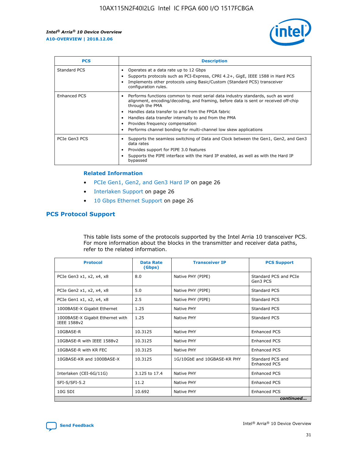

| <b>PCS</b>    | <b>Description</b>                                                                                                                                                                                                                                                                                                                                                                                                          |
|---------------|-----------------------------------------------------------------------------------------------------------------------------------------------------------------------------------------------------------------------------------------------------------------------------------------------------------------------------------------------------------------------------------------------------------------------------|
| Standard PCS  | Operates at a data rate up to 12 Gbps<br>Supports protocols such as PCI-Express, CPRI 4.2+, GigE, IEEE 1588 in Hard PCS<br>Implements other protocols using Basic/Custom (Standard PCS) transceiver<br>configuration rules.                                                                                                                                                                                                 |
| Enhanced PCS  | Performs functions common to most serial data industry standards, such as word<br>$\bullet$<br>alignment, encoding/decoding, and framing, before data is sent or received off-chip<br>through the PMA<br>• Handles data transfer to and from the FPGA fabric<br>Handles data transfer internally to and from the PMA<br>Provides frequency compensation<br>Performs channel bonding for multi-channel low skew applications |
| PCIe Gen3 PCS | Supports the seamless switching of Data and Clock between the Gen1, Gen2, and Gen3<br>data rates<br>Provides support for PIPE 3.0 features<br>Supports the PIPE interface with the Hard IP enabled, as well as with the Hard IP<br>bypassed                                                                                                                                                                                 |

#### **Related Information**

- PCIe Gen1, Gen2, and Gen3 Hard IP on page 26
- Interlaken Support on page 26
- 10 Gbps Ethernet Support on page 26

# **PCS Protocol Support**

This table lists some of the protocols supported by the Intel Arria 10 transceiver PCS. For more information about the blocks in the transmitter and receiver data paths, refer to the related information.

| <b>Protocol</b>                                 | <b>Data Rate</b><br>(Gbps) | <b>Transceiver IP</b>       | <b>PCS Support</b>                      |
|-------------------------------------------------|----------------------------|-----------------------------|-----------------------------------------|
| PCIe Gen3 x1, x2, x4, x8                        | 8.0                        | Native PHY (PIPE)           | Standard PCS and PCIe<br>Gen3 PCS       |
| PCIe Gen2 x1, x2, x4, x8                        | 5.0                        | Native PHY (PIPE)           | <b>Standard PCS</b>                     |
| PCIe Gen1 x1, x2, x4, x8                        | 2.5                        | Native PHY (PIPE)           | Standard PCS                            |
| 1000BASE-X Gigabit Ethernet                     | 1.25                       | Native PHY                  | <b>Standard PCS</b>                     |
| 1000BASE-X Gigabit Ethernet with<br>IEEE 1588v2 | 1.25                       | Native PHY                  | Standard PCS                            |
| 10GBASE-R                                       | 10.3125                    | Native PHY                  | <b>Enhanced PCS</b>                     |
| 10GBASE-R with IEEE 1588v2                      | 10.3125                    | Native PHY                  | <b>Enhanced PCS</b>                     |
| 10GBASE-R with KR FEC                           | 10.3125                    | Native PHY                  | <b>Enhanced PCS</b>                     |
| 10GBASE-KR and 1000BASE-X                       | 10.3125                    | 1G/10GbE and 10GBASE-KR PHY | Standard PCS and<br><b>Enhanced PCS</b> |
| Interlaken (CEI-6G/11G)                         | 3.125 to 17.4              | Native PHY                  | <b>Enhanced PCS</b>                     |
| SFI-S/SFI-5.2                                   | 11.2                       | Native PHY                  | <b>Enhanced PCS</b>                     |
| $10G$ SDI                                       | 10.692                     | Native PHY                  | <b>Enhanced PCS</b>                     |
|                                                 |                            |                             | continued                               |

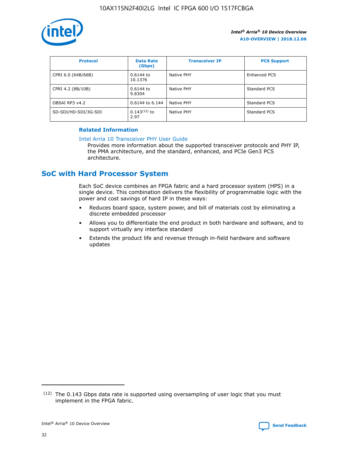

| <b>Protocol</b>      | <b>Data Rate</b><br>(Gbps) | <b>Transceiver IP</b> | <b>PCS Support</b> |
|----------------------|----------------------------|-----------------------|--------------------|
| CPRI 6.0 (64B/66B)   | 0.6144 to<br>10.1376       | Native PHY            | Enhanced PCS       |
| CPRI 4.2 (8B/10B)    | 0.6144 to<br>9.8304        | Native PHY            | Standard PCS       |
| OBSAI RP3 v4.2       | 0.6144 to 6.144            | Native PHY            | Standard PCS       |
| SD-SDI/HD-SDI/3G-SDI | $0.143(12)$ to<br>2.97     | Native PHY            | Standard PCS       |

## **Related Information**

#### [Intel Arria 10 Transceiver PHY User Guide](https://www.intel.com/content/www/us/en/programmable/documentation/nik1398707230472.html#nik1398707091164)

Provides more information about the supported transceiver protocols and PHY IP, the PMA architecture, and the standard, enhanced, and PCIe Gen3 PCS architecture.

# **SoC with Hard Processor System**

Each SoC device combines an FPGA fabric and a hard processor system (HPS) in a single device. This combination delivers the flexibility of programmable logic with the power and cost savings of hard IP in these ways:

- Reduces board space, system power, and bill of materials cost by eliminating a discrete embedded processor
- Allows you to differentiate the end product in both hardware and software, and to support virtually any interface standard
- Extends the product life and revenue through in-field hardware and software updates

 $(12)$  The 0.143 Gbps data rate is supported using oversampling of user logic that you must implement in the FPGA fabric.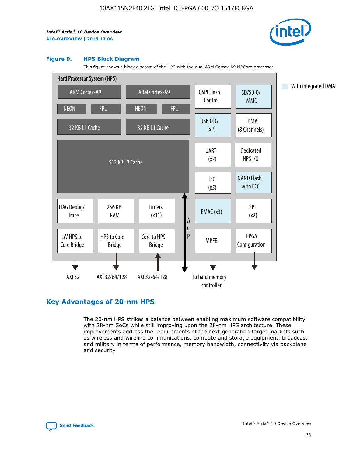

#### **Figure 9. HPS Block Diagram**

This figure shows a block diagram of the HPS with the dual ARM Cortex-A9 MPCore processor.



# **Key Advantages of 20-nm HPS**

The 20-nm HPS strikes a balance between enabling maximum software compatibility with 28-nm SoCs while still improving upon the 28-nm HPS architecture. These improvements address the requirements of the next generation target markets such as wireless and wireline communications, compute and storage equipment, broadcast and military in terms of performance, memory bandwidth, connectivity via backplane and security.

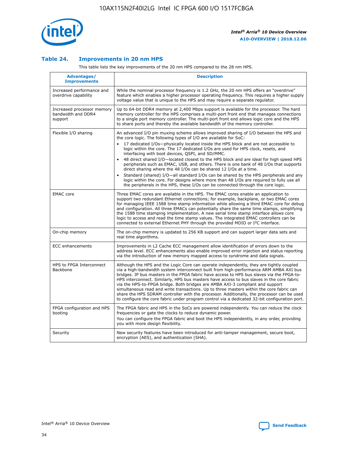

## **Table 24. Improvements in 20 nm HPS**

This table lists the key improvements of the 20 nm HPS compared to the 28 nm HPS.

| Advantages/<br><b>Improvements</b>                          | <b>Description</b>                                                                                                                                                                                                                                                                                                                                                                                                                                                                                                                                                                                                                                                                                                                                                                                                                                                                                                      |
|-------------------------------------------------------------|-------------------------------------------------------------------------------------------------------------------------------------------------------------------------------------------------------------------------------------------------------------------------------------------------------------------------------------------------------------------------------------------------------------------------------------------------------------------------------------------------------------------------------------------------------------------------------------------------------------------------------------------------------------------------------------------------------------------------------------------------------------------------------------------------------------------------------------------------------------------------------------------------------------------------|
| Increased performance and<br>overdrive capability           | While the nominal processor frequency is 1.2 GHz, the 20 nm HPS offers an "overdrive"<br>feature which enables a higher processor operating frequency. This requires a higher supply<br>voltage value that is unique to the HPS and may require a separate regulator.                                                                                                                                                                                                                                                                                                                                                                                                                                                                                                                                                                                                                                                   |
| Increased processor memory<br>bandwidth and DDR4<br>support | Up to 64-bit DDR4 memory at 2,400 Mbps support is available for the processor. The hard<br>memory controller for the HPS comprises a multi-port front end that manages connections<br>to a single port memory controller. The multi-port front end allows logic core and the HPS<br>to share ports and thereby the available bandwidth of the memory controller.                                                                                                                                                                                                                                                                                                                                                                                                                                                                                                                                                        |
| Flexible I/O sharing                                        | An advanced I/O pin muxing scheme allows improved sharing of I/O between the HPS and<br>the core logic. The following types of I/O are available for SoC:<br>17 dedicated I/Os-physically located inside the HPS block and are not accessible to<br>logic within the core. The 17 dedicated I/Os are used for HPS clock, resets, and<br>interfacing with boot devices, QSPI, and SD/MMC.<br>48 direct shared I/O-located closest to the HPS block and are ideal for high speed HPS<br>peripherals such as EMAC, USB, and others. There is one bank of 48 I/Os that supports<br>direct sharing where the 48 I/Os can be shared 12 I/Os at a time.<br>Standard (shared) I/O—all standard I/Os can be shared by the HPS peripherals and any<br>logic within the core. For designs where more than 48 I/Os are required to fully use all<br>the peripherals in the HPS, these I/Os can be connected through the core logic. |
| <b>EMAC</b> core                                            | Three EMAC cores are available in the HPS. The EMAC cores enable an application to<br>support two redundant Ethernet connections; for example, backplane, or two EMAC cores<br>for managing IEEE 1588 time stamp information while allowing a third EMAC core for debug<br>and configuration. All three EMACs can potentially share the same time stamps, simplifying<br>the 1588 time stamping implementation. A new serial time stamp interface allows core<br>logic to access and read the time stamp values. The integrated EMAC controllers can be<br>connected to external Ethernet PHY through the provided MDIO or I <sup>2</sup> C interface.                                                                                                                                                                                                                                                                  |
| On-chip memory                                              | The on-chip memory is updated to 256 KB support and can support larger data sets and<br>real time algorithms.                                                                                                                                                                                                                                                                                                                                                                                                                                                                                                                                                                                                                                                                                                                                                                                                           |
| <b>ECC</b> enhancements                                     | Improvements in L2 Cache ECC management allow identification of errors down to the<br>address level. ECC enhancements also enable improved error injection and status reporting<br>via the introduction of new memory mapped access to syndrome and data signals.                                                                                                                                                                                                                                                                                                                                                                                                                                                                                                                                                                                                                                                       |
| HPS to FPGA Interconnect<br>Backbone                        | Although the HPS and the Logic Core can operate independently, they are tightly coupled<br>via a high-bandwidth system interconnect built from high-performance ARM AMBA AXI bus<br>bridges. IP bus masters in the FPGA fabric have access to HPS bus slaves via the FPGA-to-<br>HPS interconnect. Similarly, HPS bus masters have access to bus slaves in the core fabric<br>via the HPS-to-FPGA bridge. Both bridges are AMBA AXI-3 compliant and support<br>simultaneous read and write transactions. Up to three masters within the core fabric can<br>share the HPS SDRAM controller with the processor. Additionally, the processor can be used<br>to configure the core fabric under program control via a dedicated 32-bit configuration port.                                                                                                                                                                  |
| FPGA configuration and HPS<br>booting                       | The FPGA fabric and HPS in the SoCs are powered independently. You can reduce the clock<br>frequencies or gate the clocks to reduce dynamic power.<br>You can configure the FPGA fabric and boot the HPS independently, in any order, providing<br>you with more design flexibility.                                                                                                                                                                                                                                                                                                                                                                                                                                                                                                                                                                                                                                    |
| Security                                                    | New security features have been introduced for anti-tamper management, secure boot,<br>encryption (AES), and authentication (SHA).                                                                                                                                                                                                                                                                                                                                                                                                                                                                                                                                                                                                                                                                                                                                                                                      |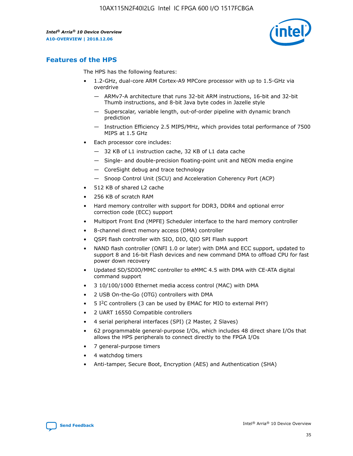

# **Features of the HPS**

The HPS has the following features:

- 1.2-GHz, dual-core ARM Cortex-A9 MPCore processor with up to 1.5-GHz via overdrive
	- ARMv7-A architecture that runs 32-bit ARM instructions, 16-bit and 32-bit Thumb instructions, and 8-bit Java byte codes in Jazelle style
	- Superscalar, variable length, out-of-order pipeline with dynamic branch prediction
	- Instruction Efficiency 2.5 MIPS/MHz, which provides total performance of 7500 MIPS at 1.5 GHz
- Each processor core includes:
	- 32 KB of L1 instruction cache, 32 KB of L1 data cache
	- Single- and double-precision floating-point unit and NEON media engine
	- CoreSight debug and trace technology
	- Snoop Control Unit (SCU) and Acceleration Coherency Port (ACP)
- 512 KB of shared L2 cache
- 256 KB of scratch RAM
- Hard memory controller with support for DDR3, DDR4 and optional error correction code (ECC) support
- Multiport Front End (MPFE) Scheduler interface to the hard memory controller
- 8-channel direct memory access (DMA) controller
- QSPI flash controller with SIO, DIO, QIO SPI Flash support
- NAND flash controller (ONFI 1.0 or later) with DMA and ECC support, updated to support 8 and 16-bit Flash devices and new command DMA to offload CPU for fast power down recovery
- Updated SD/SDIO/MMC controller to eMMC 4.5 with DMA with CE-ATA digital command support
- 3 10/100/1000 Ethernet media access control (MAC) with DMA
- 2 USB On-the-Go (OTG) controllers with DMA
- $\bullet$  5 I<sup>2</sup>C controllers (3 can be used by EMAC for MIO to external PHY)
- 2 UART 16550 Compatible controllers
- 4 serial peripheral interfaces (SPI) (2 Master, 2 Slaves)
- 62 programmable general-purpose I/Os, which includes 48 direct share I/Os that allows the HPS peripherals to connect directly to the FPGA I/Os
- 7 general-purpose timers
- 4 watchdog timers
- Anti-tamper, Secure Boot, Encryption (AES) and Authentication (SHA)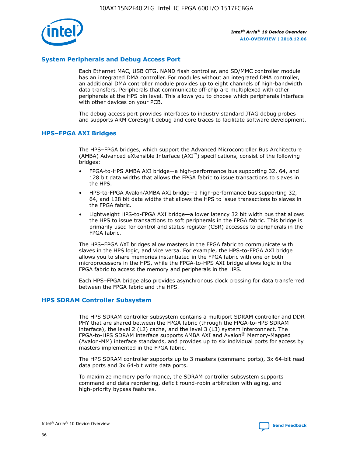

## **System Peripherals and Debug Access Port**

Each Ethernet MAC, USB OTG, NAND flash controller, and SD/MMC controller module has an integrated DMA controller. For modules without an integrated DMA controller, an additional DMA controller module provides up to eight channels of high-bandwidth data transfers. Peripherals that communicate off-chip are multiplexed with other peripherals at the HPS pin level. This allows you to choose which peripherals interface with other devices on your PCB.

The debug access port provides interfaces to industry standard JTAG debug probes and supports ARM CoreSight debug and core traces to facilitate software development.

## **HPS–FPGA AXI Bridges**

The HPS–FPGA bridges, which support the Advanced Microcontroller Bus Architecture (AMBA) Advanced eXtensible Interface (AXI™) specifications, consist of the following bridges:

- FPGA-to-HPS AMBA AXI bridge—a high-performance bus supporting 32, 64, and 128 bit data widths that allows the FPGA fabric to issue transactions to slaves in the HPS.
- HPS-to-FPGA Avalon/AMBA AXI bridge—a high-performance bus supporting 32, 64, and 128 bit data widths that allows the HPS to issue transactions to slaves in the FPGA fabric.
- Lightweight HPS-to-FPGA AXI bridge—a lower latency 32 bit width bus that allows the HPS to issue transactions to soft peripherals in the FPGA fabric. This bridge is primarily used for control and status register (CSR) accesses to peripherals in the FPGA fabric.

The HPS–FPGA AXI bridges allow masters in the FPGA fabric to communicate with slaves in the HPS logic, and vice versa. For example, the HPS-to-FPGA AXI bridge allows you to share memories instantiated in the FPGA fabric with one or both microprocessors in the HPS, while the FPGA-to-HPS AXI bridge allows logic in the FPGA fabric to access the memory and peripherals in the HPS.

Each HPS–FPGA bridge also provides asynchronous clock crossing for data transferred between the FPGA fabric and the HPS.

#### **HPS SDRAM Controller Subsystem**

The HPS SDRAM controller subsystem contains a multiport SDRAM controller and DDR PHY that are shared between the FPGA fabric (through the FPGA-to-HPS SDRAM interface), the level 2 (L2) cache, and the level 3 (L3) system interconnect. The FPGA-to-HPS SDRAM interface supports AMBA AXI and Avalon® Memory-Mapped (Avalon-MM) interface standards, and provides up to six individual ports for access by masters implemented in the FPGA fabric.

The HPS SDRAM controller supports up to 3 masters (command ports), 3x 64-bit read data ports and 3x 64-bit write data ports.

To maximize memory performance, the SDRAM controller subsystem supports command and data reordering, deficit round-robin arbitration with aging, and high-priority bypass features.

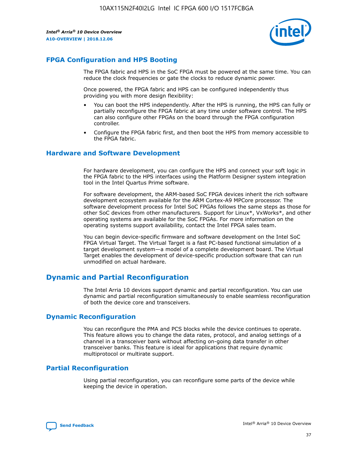

# **FPGA Configuration and HPS Booting**

The FPGA fabric and HPS in the SoC FPGA must be powered at the same time. You can reduce the clock frequencies or gate the clocks to reduce dynamic power.

Once powered, the FPGA fabric and HPS can be configured independently thus providing you with more design flexibility:

- You can boot the HPS independently. After the HPS is running, the HPS can fully or partially reconfigure the FPGA fabric at any time under software control. The HPS can also configure other FPGAs on the board through the FPGA configuration controller.
- Configure the FPGA fabric first, and then boot the HPS from memory accessible to the FPGA fabric.

## **Hardware and Software Development**

For hardware development, you can configure the HPS and connect your soft logic in the FPGA fabric to the HPS interfaces using the Platform Designer system integration tool in the Intel Quartus Prime software.

For software development, the ARM-based SoC FPGA devices inherit the rich software development ecosystem available for the ARM Cortex-A9 MPCore processor. The software development process for Intel SoC FPGAs follows the same steps as those for other SoC devices from other manufacturers. Support for Linux\*, VxWorks\*, and other operating systems are available for the SoC FPGAs. For more information on the operating systems support availability, contact the Intel FPGA sales team.

You can begin device-specific firmware and software development on the Intel SoC FPGA Virtual Target. The Virtual Target is a fast PC-based functional simulation of a target development system—a model of a complete development board. The Virtual Target enables the development of device-specific production software that can run unmodified on actual hardware.

# **Dynamic and Partial Reconfiguration**

The Intel Arria 10 devices support dynamic and partial reconfiguration. You can use dynamic and partial reconfiguration simultaneously to enable seamless reconfiguration of both the device core and transceivers.

# **Dynamic Reconfiguration**

You can reconfigure the PMA and PCS blocks while the device continues to operate. This feature allows you to change the data rates, protocol, and analog settings of a channel in a transceiver bank without affecting on-going data transfer in other transceiver banks. This feature is ideal for applications that require dynamic multiprotocol or multirate support.

# **Partial Reconfiguration**

Using partial reconfiguration, you can reconfigure some parts of the device while keeping the device in operation.

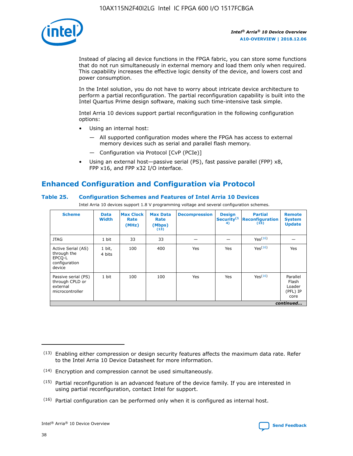

Instead of placing all device functions in the FPGA fabric, you can store some functions that do not run simultaneously in external memory and load them only when required. This capability increases the effective logic density of the device, and lowers cost and power consumption.

In the Intel solution, you do not have to worry about intricate device architecture to perform a partial reconfiguration. The partial reconfiguration capability is built into the Intel Quartus Prime design software, making such time-intensive task simple.

Intel Arria 10 devices support partial reconfiguration in the following configuration options:

- Using an internal host:
	- All supported configuration modes where the FPGA has access to external memory devices such as serial and parallel flash memory.
	- Configuration via Protocol [CvP (PCIe)]
- Using an external host—passive serial (PS), fast passive parallel (FPP) x8, FPP x16, and FPP x32 I/O interface.

# **Enhanced Configuration and Configuration via Protocol**

## **Table 25. Configuration Schemes and Features of Intel Arria 10 Devices**

Intel Arria 10 devices support 1.8 V programming voltage and several configuration schemes.

| <b>Scheme</b>                                                          | <b>Data</b><br><b>Width</b> | <b>Max Clock</b><br>Rate<br>(MHz) | <b>Max Data</b><br>Rate<br>(Mbps)<br>(13) | <b>Decompression</b> | <b>Design</b><br>Security <sup>(1</sup><br>4) | <b>Partial</b><br>Reconfiguration<br>(15) | <b>Remote</b><br><b>System</b><br><b>Update</b> |
|------------------------------------------------------------------------|-----------------------------|-----------------------------------|-------------------------------------------|----------------------|-----------------------------------------------|-------------------------------------------|-------------------------------------------------|
| <b>JTAG</b>                                                            | 1 bit                       | 33                                | 33                                        |                      |                                               | Yes(16)                                   |                                                 |
| Active Serial (AS)<br>through the<br>EPCO-L<br>configuration<br>device | 1 bit,<br>4 bits            | 100                               | 400                                       | Yes                  | Yes                                           | Yes(16)                                   | Yes                                             |
| Passive serial (PS)<br>through CPLD or<br>external<br>microcontroller  | 1 bit                       | 100                               | 100                                       | Yes                  | Yes                                           | Yes <sup>(16)</sup>                       | Parallel<br>Flash<br>Loader<br>(PFL) IP<br>core |
|                                                                        |                             |                                   |                                           |                      |                                               |                                           | continued                                       |

<sup>(13)</sup> Enabling either compression or design security features affects the maximum data rate. Refer to the Intel Arria 10 Device Datasheet for more information.

<sup>(14)</sup> Encryption and compression cannot be used simultaneously.

 $(15)$  Partial reconfiguration is an advanced feature of the device family. If you are interested in using partial reconfiguration, contact Intel for support.

 $(16)$  Partial configuration can be performed only when it is configured as internal host.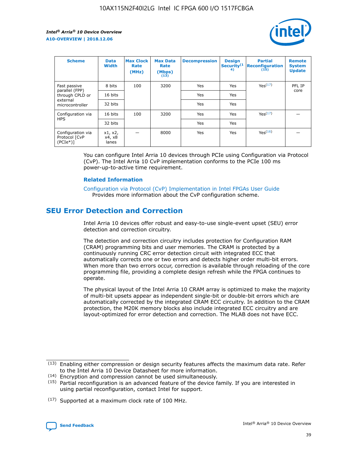

| <b>Scheme</b>                                   | <b>Data</b><br><b>Width</b> | <b>Max Clock</b><br>Rate<br>(MHz) | <b>Max Data</b><br>Rate<br>(Mbps)<br>(13) | <b>Decompression</b> | <b>Design</b><br>Security <sup>(1</sup><br>4) | <b>Partial</b><br><b>Reconfiguration</b><br>(15) | <b>Remote</b><br><b>System</b><br><b>Update</b> |
|-------------------------------------------------|-----------------------------|-----------------------------------|-------------------------------------------|----------------------|-----------------------------------------------|--------------------------------------------------|-------------------------------------------------|
| Fast passive                                    | 8 bits                      | 100                               | 3200                                      | Yes                  | Yes                                           | Yes(17)                                          | PFL IP                                          |
| parallel (FPP)<br>through CPLD or               | 16 bits                     |                                   |                                           | Yes                  | Yes                                           |                                                  | core                                            |
| external<br>microcontroller                     | 32 bits                     |                                   |                                           | Yes                  | Yes                                           |                                                  |                                                 |
| Configuration via                               | 16 bits                     | 100                               | 3200                                      | Yes                  | Yes                                           | Yes <sup>(17)</sup>                              |                                                 |
| <b>HPS</b>                                      | 32 bits                     |                                   |                                           | Yes                  | Yes                                           |                                                  |                                                 |
| Configuration via<br>Protocol [CvP<br>$(PCIe*)$ | x1, x2,<br>x4, x8<br>lanes  |                                   | 8000                                      | Yes                  | Yes                                           | Yes(16)                                          |                                                 |

You can configure Intel Arria 10 devices through PCIe using Configuration via Protocol (CvP). The Intel Arria 10 CvP implementation conforms to the PCIe 100 ms power-up-to-active time requirement.

#### **Related Information**

[Configuration via Protocol \(CvP\) Implementation in Intel FPGAs User Guide](https://www.intel.com/content/www/us/en/programmable/documentation/dsu1441819344145.html#dsu1442269728522) Provides more information about the CvP configuration scheme.

# **SEU Error Detection and Correction**

Intel Arria 10 devices offer robust and easy-to-use single-event upset (SEU) error detection and correction circuitry.

The detection and correction circuitry includes protection for Configuration RAM (CRAM) programming bits and user memories. The CRAM is protected by a continuously running CRC error detection circuit with integrated ECC that automatically corrects one or two errors and detects higher order multi-bit errors. When more than two errors occur, correction is available through reloading of the core programming file, providing a complete design refresh while the FPGA continues to operate.

The physical layout of the Intel Arria 10 CRAM array is optimized to make the majority of multi-bit upsets appear as independent single-bit or double-bit errors which are automatically corrected by the integrated CRAM ECC circuitry. In addition to the CRAM protection, the M20K memory blocks also include integrated ECC circuitry and are layout-optimized for error detection and correction. The MLAB does not have ECC.

(14) Encryption and compression cannot be used simultaneously.

<sup>(17)</sup> Supported at a maximum clock rate of 100 MHz.



 $(13)$  Enabling either compression or design security features affects the maximum data rate. Refer to the Intel Arria 10 Device Datasheet for more information.

 $(15)$  Partial reconfiguration is an advanced feature of the device family. If you are interested in using partial reconfiguration, contact Intel for support.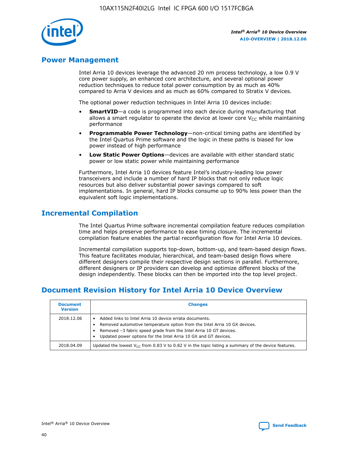

# **Power Management**

Intel Arria 10 devices leverage the advanced 20 nm process technology, a low 0.9 V core power supply, an enhanced core architecture, and several optional power reduction techniques to reduce total power consumption by as much as 40% compared to Arria V devices and as much as 60% compared to Stratix V devices.

The optional power reduction techniques in Intel Arria 10 devices include:

- **SmartVID**—a code is programmed into each device during manufacturing that allows a smart regulator to operate the device at lower core  $V_{CC}$  while maintaining performance
- **Programmable Power Technology**—non-critical timing paths are identified by the Intel Quartus Prime software and the logic in these paths is biased for low power instead of high performance
- **Low Static Power Options**—devices are available with either standard static power or low static power while maintaining performance

Furthermore, Intel Arria 10 devices feature Intel's industry-leading low power transceivers and include a number of hard IP blocks that not only reduce logic resources but also deliver substantial power savings compared to soft implementations. In general, hard IP blocks consume up to 90% less power than the equivalent soft logic implementations.

# **Incremental Compilation**

The Intel Quartus Prime software incremental compilation feature reduces compilation time and helps preserve performance to ease timing closure. The incremental compilation feature enables the partial reconfiguration flow for Intel Arria 10 devices.

Incremental compilation supports top-down, bottom-up, and team-based design flows. This feature facilitates modular, hierarchical, and team-based design flows where different designers compile their respective design sections in parallel. Furthermore, different designers or IP providers can develop and optimize different blocks of the design independently. These blocks can then be imported into the top level project.

# **Document Revision History for Intel Arria 10 Device Overview**

| <b>Document</b><br><b>Version</b> | <b>Changes</b>                                                                                                                                                                                                                                                              |
|-----------------------------------|-----------------------------------------------------------------------------------------------------------------------------------------------------------------------------------------------------------------------------------------------------------------------------|
| 2018.12.06                        | Added links to Intel Arria 10 device errata documents.<br>Removed automotive temperature option from the Intel Arria 10 GX devices.<br>Removed -3 fabric speed grade from the Intel Arria 10 GT devices.<br>Updated power options for the Intel Arria 10 GX and GT devices. |
| 2018.04.09                        | Updated the lowest $V_{CC}$ from 0.83 V to 0.82 V in the topic listing a summary of the device features.                                                                                                                                                                    |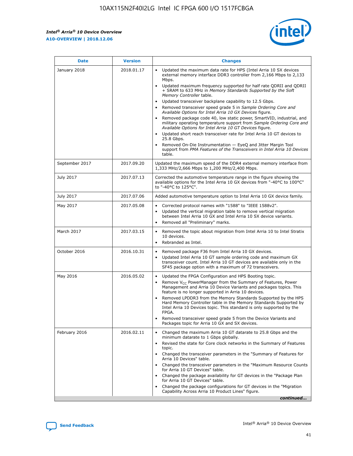*Intel® Arria® 10 Device Overview* **A10-OVERVIEW | 2018.12.06**



| <b>Date</b>    | <b>Version</b> | <b>Changes</b>                                                                                                                                                                                                                                                                                                                                                                                                                                                                                                                                                                                                                                                                                                                                                                                                                                                                                                                                                            |
|----------------|----------------|---------------------------------------------------------------------------------------------------------------------------------------------------------------------------------------------------------------------------------------------------------------------------------------------------------------------------------------------------------------------------------------------------------------------------------------------------------------------------------------------------------------------------------------------------------------------------------------------------------------------------------------------------------------------------------------------------------------------------------------------------------------------------------------------------------------------------------------------------------------------------------------------------------------------------------------------------------------------------|
| January 2018   | 2018.01.17     | Updated the maximum data rate for HPS (Intel Arria 10 SX devices<br>external memory interface DDR3 controller from 2,166 Mbps to 2,133<br>Mbps.<br>Updated maximum frequency supported for half rate QDRII and QDRII<br>+ SRAM to 633 MHz in Memory Standards Supported by the Soft<br>Memory Controller table.<br>Updated transceiver backplane capability to 12.5 Gbps.<br>$\bullet$<br>Removed transceiver speed grade 5 in Sample Ordering Core and<br>Available Options for Intel Arria 10 GX Devices figure.<br>Removed package code 40, low static power, SmartVID, industrial, and<br>military operating temperature support from Sample Ordering Core and<br>Available Options for Intel Arria 10 GT Devices figure.<br>Updated short reach transceiver rate for Intel Arria 10 GT devices to<br>25.8 Gbps.<br>Removed On-Die Instrumentation - EyeQ and Jitter Margin Tool<br>support from PMA Features of the Transceivers in Intel Arria 10 Devices<br>table. |
| September 2017 | 2017.09.20     | Updated the maximum speed of the DDR4 external memory interface from<br>1,333 MHz/2,666 Mbps to 1,200 MHz/2,400 Mbps.                                                                                                                                                                                                                                                                                                                                                                                                                                                                                                                                                                                                                                                                                                                                                                                                                                                     |
| July 2017      | 2017.07.13     | Corrected the automotive temperature range in the figure showing the<br>available options for the Intel Arria 10 GX devices from "-40°C to 100°C"<br>to "-40°C to 125°C".                                                                                                                                                                                                                                                                                                                                                                                                                                                                                                                                                                                                                                                                                                                                                                                                 |
| July 2017      | 2017.07.06     | Added automotive temperature option to Intel Arria 10 GX device family.                                                                                                                                                                                                                                                                                                                                                                                                                                                                                                                                                                                                                                                                                                                                                                                                                                                                                                   |
| May 2017       | 2017.05.08     | Corrected protocol names with "1588" to "IEEE 1588v2".<br>$\bullet$<br>Updated the vertical migration table to remove vertical migration<br>$\bullet$<br>between Intel Arria 10 GX and Intel Arria 10 SX device variants.<br>Removed all "Preliminary" marks.<br>$\bullet$                                                                                                                                                                                                                                                                                                                                                                                                                                                                                                                                                                                                                                                                                                |
| March 2017     | 2017.03.15     | Removed the topic about migration from Intel Arria 10 to Intel Stratix<br>10 devices.<br>Rebranded as Intel.<br>$\bullet$                                                                                                                                                                                                                                                                                                                                                                                                                                                                                                                                                                                                                                                                                                                                                                                                                                                 |
| October 2016   | 2016.10.31     | Removed package F36 from Intel Arria 10 GX devices.<br>Updated Intel Arria 10 GT sample ordering code and maximum GX<br>$\bullet$<br>transceiver count. Intel Arria 10 GT devices are available only in the<br>SF45 package option with a maximum of 72 transceivers.                                                                                                                                                                                                                                                                                                                                                                                                                                                                                                                                                                                                                                                                                                     |
| May 2016       | 2016.05.02     | Updated the FPGA Configuration and HPS Booting topic.<br>$\bullet$<br>Remove V <sub>CC</sub> PowerManager from the Summary of Features, Power<br>Management and Arria 10 Device Variants and packages topics. This<br>feature is no longer supported in Arria 10 devices.<br>Removed LPDDR3 from the Memory Standards Supported by the HPS<br>Hard Memory Controller table in the Memory Standards Supported by<br>Intel Arria 10 Devices topic. This standard is only supported by the<br>FPGA.<br>Removed transceiver speed grade 5 from the Device Variants and<br>Packages topic for Arria 10 GX and SX devices.                                                                                                                                                                                                                                                                                                                                                      |
| February 2016  | 2016.02.11     | Changed the maximum Arria 10 GT datarate to 25.8 Gbps and the<br>minimum datarate to 1 Gbps globally.<br>Revised the state for Core clock networks in the Summary of Features<br>$\bullet$<br>topic.<br>Changed the transceiver parameters in the "Summary of Features for<br>$\bullet$<br>Arria 10 Devices" table.<br>• Changed the transceiver parameters in the "Maximum Resource Counts<br>for Arria 10 GT Devices" table.<br>Changed the package availability for GT devices in the "Package Plan<br>for Arria 10 GT Devices" table.<br>Changed the package configurations for GT devices in the "Migration"<br>Capability Across Arria 10 Product Lines" figure.<br>continued                                                                                                                                                                                                                                                                                       |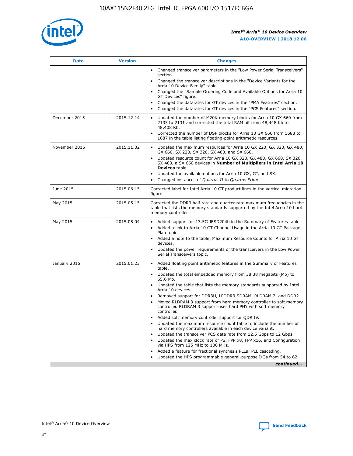

| <b>Date</b>   | <b>Version</b> | <b>Changes</b>                                                                                                                                                               |
|---------------|----------------|------------------------------------------------------------------------------------------------------------------------------------------------------------------------------|
|               |                | • Changed transceiver parameters in the "Low Power Serial Transceivers"<br>section.                                                                                          |
|               |                | • Changed the transceiver descriptions in the "Device Variants for the<br>Arria 10 Device Family" table.                                                                     |
|               |                | Changed the "Sample Ordering Code and Available Options for Arria 10<br>$\bullet$<br>GT Devices" figure.                                                                     |
|               |                | Changed the datarates for GT devices in the "PMA Features" section.                                                                                                          |
|               |                | Changed the datarates for GT devices in the "PCS Features" section.<br>$\bullet$                                                                                             |
| December 2015 | 2015.12.14     | Updated the number of M20K memory blocks for Arria 10 GX 660 from<br>2133 to 2131 and corrected the total RAM bit from 48,448 Kb to<br>48,408 Kb.                            |
|               |                | Corrected the number of DSP blocks for Arria 10 GX 660 from 1688 to<br>1687 in the table listing floating-point arithmetic resources.                                        |
| November 2015 | 2015.11.02     | Updated the maximum resources for Arria 10 GX 220, GX 320, GX 480,<br>$\bullet$<br>GX 660, SX 220, SX 320, SX 480, and SX 660.                                               |
|               |                | • Updated resource count for Arria 10 GX 320, GX 480, GX 660, SX 320,<br>SX 480, a SX 660 devices in Number of Multipliers in Intel Arria 10<br><b>Devices</b> table.        |
|               |                | Updated the available options for Arria 10 GX, GT, and SX.                                                                                                                   |
|               |                | Changed instances of Quartus II to Quartus Prime.<br>$\bullet$                                                                                                               |
| June 2015     | 2015.06.15     | Corrected label for Intel Arria 10 GT product lines in the vertical migration<br>figure.                                                                                     |
| May 2015      | 2015.05.15     | Corrected the DDR3 half rate and quarter rate maximum frequencies in the<br>table that lists the memory standards supported by the Intel Arria 10 hard<br>memory controller. |
| May 2015      | 2015.05.04     | • Added support for 13.5G JESD204b in the Summary of Features table.<br>• Added a link to Arria 10 GT Channel Usage in the Arria 10 GT Package<br>Plan topic.                |
|               |                | • Added a note to the table, Maximum Resource Counts for Arria 10 GT<br>devices.                                                                                             |
|               |                | • Updated the power requirements of the transceivers in the Low Power<br>Serial Transceivers topic.                                                                          |
| January 2015  | 2015.01.23     | • Added floating point arithmetic features in the Summary of Features<br>table.                                                                                              |
|               |                | • Updated the total embedded memory from 38.38 megabits (Mb) to<br>65.6 Mb.                                                                                                  |
|               |                | • Updated the table that lists the memory standards supported by Intel<br>Arria 10 devices.                                                                                  |
|               |                | Removed support for DDR3U, LPDDR3 SDRAM, RLDRAM 2, and DDR2.                                                                                                                 |
|               |                | Moved RLDRAM 3 support from hard memory controller to soft memory<br>controller. RLDRAM 3 support uses hard PHY with soft memory<br>controller.                              |
|               |                | Added soft memory controller support for QDR IV.<br>٠                                                                                                                        |
|               |                | Updated the maximum resource count table to include the number of<br>hard memory controllers available in each device variant.                                               |
|               |                | Updated the transceiver PCS data rate from 12.5 Gbps to 12 Gbps.<br>$\bullet$                                                                                                |
|               |                | Updated the max clock rate of PS, FPP x8, FPP x16, and Configuration<br>via HPS from 125 MHz to 100 MHz.                                                                     |
|               |                | Added a feature for fractional synthesis PLLs: PLL cascading.                                                                                                                |
|               |                | Updated the HPS programmable general-purpose I/Os from 54 to 62.<br>$\bullet$<br>continued                                                                                   |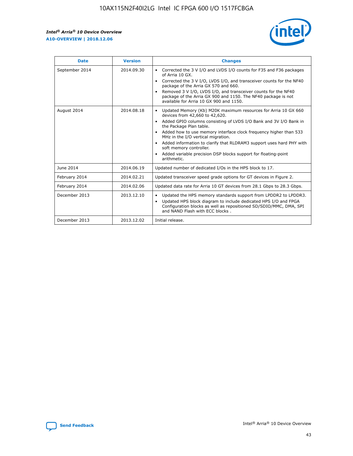r



| <b>Date</b>    | <b>Version</b> | <b>Changes</b>                                                                                                                                                                                                                                                                                                                                                                                                                                                                                                                                      |
|----------------|----------------|-----------------------------------------------------------------------------------------------------------------------------------------------------------------------------------------------------------------------------------------------------------------------------------------------------------------------------------------------------------------------------------------------------------------------------------------------------------------------------------------------------------------------------------------------------|
| September 2014 | 2014.09.30     | Corrected the 3 V I/O and LVDS I/O counts for F35 and F36 packages<br>$\bullet$<br>of Arria 10 GX.<br>Corrected the 3 V I/O, LVDS I/O, and transceiver counts for the NF40<br>$\bullet$<br>package of the Arria GX 570 and 660.<br>Removed 3 V I/O, LVDS I/O, and transceiver counts for the NF40<br>package of the Arria GX 900 and 1150. The NF40 package is not<br>available for Arria 10 GX 900 and 1150.                                                                                                                                       |
| August 2014    | 2014.08.18     | Updated Memory (Kb) M20K maximum resources for Arria 10 GX 660<br>devices from 42,660 to 42,620.<br>Added GPIO columns consisting of LVDS I/O Bank and 3V I/O Bank in<br>$\bullet$<br>the Package Plan table.<br>Added how to use memory interface clock frequency higher than 533<br>$\bullet$<br>MHz in the I/O vertical migration.<br>Added information to clarify that RLDRAM3 support uses hard PHY with<br>$\bullet$<br>soft memory controller.<br>Added variable precision DSP blocks support for floating-point<br>$\bullet$<br>arithmetic. |
| June 2014      | 2014.06.19     | Updated number of dedicated I/Os in the HPS block to 17.                                                                                                                                                                                                                                                                                                                                                                                                                                                                                            |
| February 2014  | 2014.02.21     | Updated transceiver speed grade options for GT devices in Figure 2.                                                                                                                                                                                                                                                                                                                                                                                                                                                                                 |
| February 2014  | 2014.02.06     | Updated data rate for Arria 10 GT devices from 28.1 Gbps to 28.3 Gbps.                                                                                                                                                                                                                                                                                                                                                                                                                                                                              |
| December 2013  | 2013.12.10     | Updated the HPS memory standards support from LPDDR2 to LPDDR3.<br>Updated HPS block diagram to include dedicated HPS I/O and FPGA<br>$\bullet$<br>Configuration blocks as well as repositioned SD/SDIO/MMC, DMA, SPI<br>and NAND Flash with ECC blocks.                                                                                                                                                                                                                                                                                            |
| December 2013  | 2013.12.02     | Initial release.                                                                                                                                                                                                                                                                                                                                                                                                                                                                                                                                    |